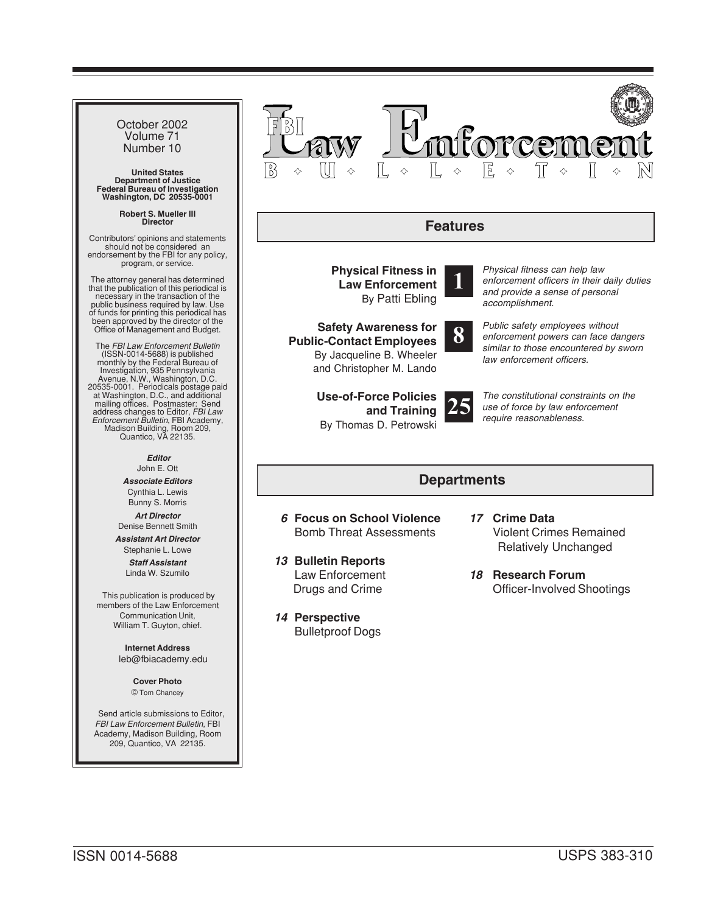| October 2002<br>Volume 71<br>Number 10<br><b>United States</b><br><b>Department of Justice</b><br><b>Federal Bureau of Investigation</b><br>Washington, DC 20535-0001                                                                                                                                                                                                                                                                                                                                                                                                                                                                                                                                                                                                                                                                                                                    | Force<br>B                                                                                                                                                                                                                                                                                                                                                                                                                                                                                                                                                                                                                                                                   |  |
|------------------------------------------------------------------------------------------------------------------------------------------------------------------------------------------------------------------------------------------------------------------------------------------------------------------------------------------------------------------------------------------------------------------------------------------------------------------------------------------------------------------------------------------------------------------------------------------------------------------------------------------------------------------------------------------------------------------------------------------------------------------------------------------------------------------------------------------------------------------------------------------|------------------------------------------------------------------------------------------------------------------------------------------------------------------------------------------------------------------------------------------------------------------------------------------------------------------------------------------------------------------------------------------------------------------------------------------------------------------------------------------------------------------------------------------------------------------------------------------------------------------------------------------------------------------------------|--|
| <b>Robert S. Mueller III</b><br><b>Director</b>                                                                                                                                                                                                                                                                                                                                                                                                                                                                                                                                                                                                                                                                                                                                                                                                                                          | <b>Features</b>                                                                                                                                                                                                                                                                                                                                                                                                                                                                                                                                                                                                                                                              |  |
| Contributors' opinions and statements<br>should not be considered an<br>endorsement by the FBI for any policy,<br>program, or service.<br>The attorney general has determined<br>that the publication of this periodical is<br>necessary in the transaction of the<br>public business required by law. Use<br>of funds for printing this periodical has<br>been approved by the director of the<br>Office of Management and Budget.<br>The FBI Law Enforcement Bulletin<br>(ISSN-0014-5688) is published<br>monthly by the Federal Bureau of<br>Investigation, 935 Pennsylvania<br>Avenue, N.W., Washington, D.C.<br>20535-0001. Periodicals postage paid<br>at Washington, D.C., and additional<br>mailing offices. Postmaster: Send<br>address changes to Editor, FBI Law<br>Enforcement Bulletin, FBI Academy,<br>Madison Building, Room 209,<br>Quantico, VA 22135.<br><b>Editor</b> | Physical fitness can help law<br><b>Physical Fitness in</b><br>enforcement officers in their daily duties<br><b>Law Enforcement</b><br>and provide a sense of personal<br>By Patti Ebling<br>accomplishment.<br>Public safety employees without<br><b>Safety Awareness for</b><br>8<br>enforcement powers can face dangers<br><b>Public-Contact Employees</b><br>similar to those encountered by sworn<br>By Jacqueline B. Wheeler<br>law enforcement officers.<br>and Christopher M. Lando<br>The constitutional constraints on the<br><b>Use-of-Force Policies</b><br>use of force by law enforcement<br>and Training<br>require reasonableness.<br>By Thomas D. Petrowski |  |
| John E. Ott<br><b>Associate Editors</b>                                                                                                                                                                                                                                                                                                                                                                                                                                                                                                                                                                                                                                                                                                                                                                                                                                                  | <b>Departments</b>                                                                                                                                                                                                                                                                                                                                                                                                                                                                                                                                                                                                                                                           |  |
| Cynthia L. Lewis<br>Bunny S. Morris<br><b>Art Director</b><br>Denise Bennett Smith<br><b>Assistant Art Director</b><br>Stephanie L. Lowe<br><b>Staff Assistant</b><br>Linda W. Szumilo<br>This publication is produced by<br>members of the Law Enforcement<br>Communication Unit,<br>William T. Guyton, chief.<br><b>Internet Address</b><br>leb@fbiacademy.edu<br><b>Cover Photo</b><br>© Tom Chancey<br>Send article submissions to Editor,<br><b>FBI Law Enforcement Bulletin, FBI</b><br>Academy, Madison Building, Room<br>209, Quantico, VA 22135.                                                                                                                                                                                                                                                                                                                                | 6 Focus on School Violence<br>17 Crime Data<br><b>Bomb Threat Assessments</b><br><b>Violent Crimes Remained</b><br><b>Relatively Unchanged</b><br>13 Bulletin Reports<br>Law Enforcement<br>18 Research Forum<br>Drugs and Crime<br><b>Officer-Involved Shootings</b><br>14 Perspective<br><b>Bulletproof Dogs</b>                                                                                                                                                                                                                                                                                                                                                           |  |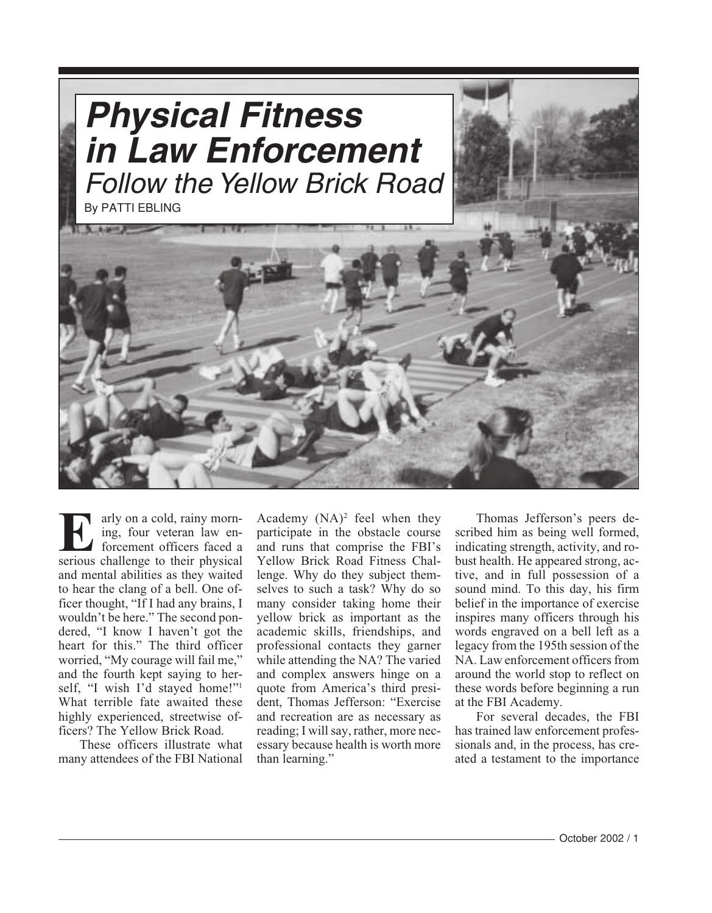<span id="page-1-0"></span>

arly on a cold, rainy morn-**EFFORM** ing, four veteran law enforcement officers faced a serious challenge to their physical and mental abilities as they waited to hear the clang of a bell. One officer thought, "If I had any brains, I wouldn't be here." The second pondered, "I know I haven't got the heart for this." The third officer worried, "My courage will fail me," and the fourth kept saying to herself, "I wish I'd stayed home!"1 What terrible fate awaited these highly experienced, streetwise officers? The Yellow Brick Road.

These officers illustrate what many attendees of the FBI National

Academy  $(NA)^2$  feel when they participate in the obstacle course and runs that comprise the FBI's Yellow Brick Road Fitness Challenge. Why do they subject themselves to such a task? Why do so many consider taking home their yellow brick as important as the academic skills, friendships, and professional contacts they garner while attending the NA? The varied and complex answers hinge on a quote from America's third president, Thomas Jefferson: "Exercise and recreation are as necessary as reading; I will say, rather, more necessary because health is worth more than learning."

Thomas Jefferson's peers described him as being well formed, indicating strength, activity, and robust health. He appeared strong, active, and in full possession of a sound mind. To this day, his firm belief in the importance of exercise inspires many officers through his words engraved on a bell left as a legacy from the 195th session of the NA. Law enforcement officers from around the world stop to reflect on these words before beginning a run at the FBI Academy.

For several decades, the FBI has trained law enforcement professionals and, in the process, has created a testament to the importance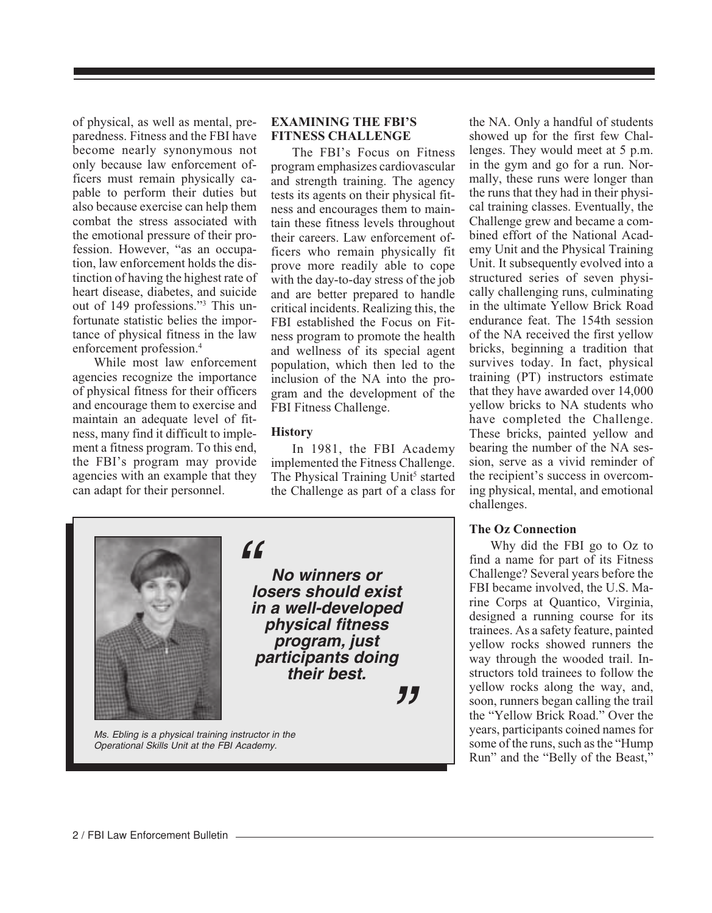of physical, as well as mental, preparedness. Fitness and the FBI have become nearly synonymous not only because law enforcement officers must remain physically capable to perform their duties but also because exercise can help them combat the stress associated with the emotional pressure of their profession. However, "as an occupation, law enforcement holds the distinction of having the highest rate of heart disease, diabetes, and suicide out of 149 professions."3 This unfortunate statistic belies the importance of physical fitness in the law enforcement profession.4

While most law enforcement agencies recognize the importance of physical fitness for their officers and encourage them to exercise and maintain an adequate level of fitness, many find it difficult to implement a fitness program. To this end, the FBI's program may provide agencies with an example that they can adapt for their personnel.

#### **EXAMINING THE FBI'S FITNESS CHALLENGE**

The FBI's Focus on Fitness program emphasizes cardiovascular and strength training. The agency tests its agents on their physical fitness and encourages them to maintain these fitness levels throughout their careers. Law enforcement officers who remain physically fit prove more readily able to cope with the day-to-day stress of the job and are better prepared to handle critical incidents. Realizing this, the FBI established the Focus on Fitness program to promote the health and wellness of its special agent population, which then led to the inclusion of the NA into the program and the development of the FBI Fitness Challenge.

#### **History**

In 1981, the FBI Academy implemented the Fitness Challenge. The Physical Training Unit<sup>5</sup> started the Challenge as part of a class for



"

**No winners or losers should exist in a well-developed physical fitness program, just participants doing their best.**

"

Ms. Ebling is a physical training instructor in the Operational Skills Unit at the FBI Academy.

the NA. Only a handful of students showed up for the first few Challenges. They would meet at 5 p.m. in the gym and go for a run. Normally, these runs were longer than the runs that they had in their physical training classes. Eventually, the Challenge grew and became a combined effort of the National Academy Unit and the Physical Training Unit. It subsequently evolved into a structured series of seven physically challenging runs, culminating in the ultimate Yellow Brick Road endurance feat. The 154th session of the NA received the first yellow bricks, beginning a tradition that survives today. In fact, physical training (PT) instructors estimate that they have awarded over 14,000 yellow bricks to NA students who have completed the Challenge. These bricks, painted yellow and bearing the number of the NA session, serve as a vivid reminder of the recipient's success in overcoming physical, mental, and emotional challenges.

### **The Oz Connection**

Why did the FBI go to Oz to find a name for part of its Fitness Challenge? Several years before the FBI became involved, the U.S. Marine Corps at Quantico, Virginia, designed a running course for its trainees. As a safety feature, painted yellow rocks showed runners the way through the wooded trail. Instructors told trainees to follow the yellow rocks along the way, and, soon, runners began calling the trail the "Yellow Brick Road." Over the years, participants coined names for some of the runs, such as the "Hump Run" and the "Belly of the Beast,"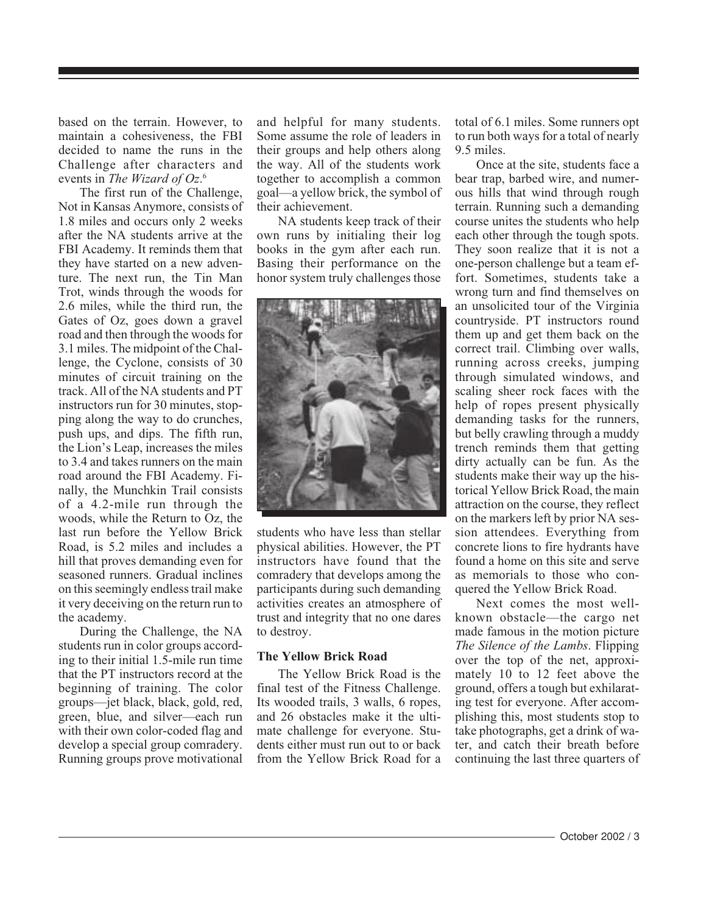based on the terrain. However, to maintain a cohesiveness, the FBI decided to name the runs in the Challenge after characters and events in *The Wizard of Oz*. 6

The first run of the Challenge, Not in Kansas Anymore, consists of 1.8 miles and occurs only 2 weeks after the NA students arrive at the FBI Academy. It reminds them that they have started on a new adventure. The next run, the Tin Man Trot, winds through the woods for 2.6 miles, while the third run, the Gates of Oz, goes down a gravel road and then through the woods for 3.1 miles. The midpoint of the Challenge, the Cyclone, consists of 30 minutes of circuit training on the track. All of the NA students and PT instructors run for 30 minutes, stopping along the way to do crunches, push ups, and dips. The fifth run, the Lion's Leap, increases the miles to 3.4 and takes runners on the main road around the FBI Academy. Finally, the Munchkin Trail consists of a 4.2-mile run through the woods, while the Return to Oz, the last run before the Yellow Brick Road, is 5.2 miles and includes a hill that proves demanding even for seasoned runners. Gradual inclines on this seemingly endless trail make it very deceiving on the return run to the academy.

During the Challenge, the NA students run in color groups according to their initial 1.5-mile run time that the PT instructors record at the beginning of training. The color groups—jet black, black, gold, red, green, blue, and silver—each run with their own color-coded flag and develop a special group comradery. Running groups prove motivational and helpful for many students. Some assume the role of leaders in their groups and help others along the way. All of the students work together to accomplish a common goal—a yellow brick, the symbol of their achievement.

NA students keep track of their own runs by initialing their log books in the gym after each run. Basing their performance on the honor system truly challenges those



students who have less than stellar physical abilities. However, the PT instructors have found that the comradery that develops among the participants during such demanding activities creates an atmosphere of trust and integrity that no one dares to destroy.

#### **The Yellow Brick Road**

The Yellow Brick Road is the final test of the Fitness Challenge. Its wooded trails, 3 walls, 6 ropes, and 26 obstacles make it the ultimate challenge for everyone. Students either must run out to or back from the Yellow Brick Road for a total of 6.1 miles. Some runners opt to run both ways for a total of nearly 9.5 miles.

Once at the site, students face a bear trap, barbed wire, and numerous hills that wind through rough terrain. Running such a demanding course unites the students who help each other through the tough spots. They soon realize that it is not a one-person challenge but a team effort. Sometimes, students take a wrong turn and find themselves on an unsolicited tour of the Virginia countryside. PT instructors round them up and get them back on the correct trail. Climbing over walls, running across creeks, jumping through simulated windows, and scaling sheer rock faces with the help of ropes present physically demanding tasks for the runners, but belly crawling through a muddy trench reminds them that getting dirty actually can be fun. As the students make their way up the historical Yellow Brick Road, the main attraction on the course, they reflect on the markers left by prior NA session attendees. Everything from concrete lions to fire hydrants have found a home on this site and serve as memorials to those who conquered the Yellow Brick Road.

Next comes the most wellknown obstacle—the cargo net made famous in the motion picture *The Silence of the Lambs*. Flipping over the top of the net, approximately 10 to 12 feet above the ground, offers a tough but exhilarating test for everyone. After accomplishing this, most students stop to take photographs, get a drink of water, and catch their breath before continuing the last three quarters of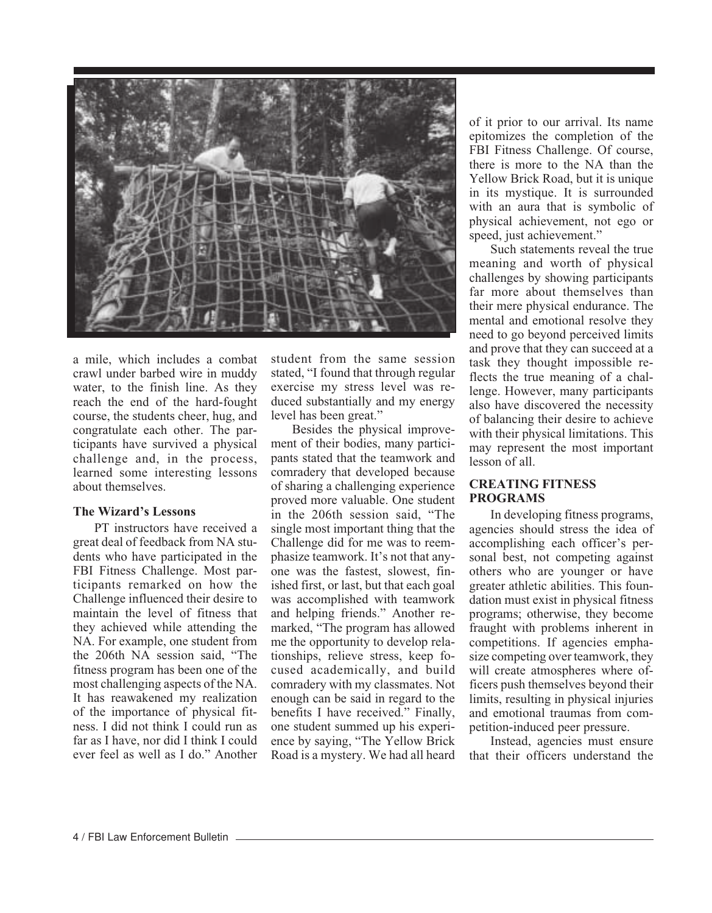

a mile, which includes a combat crawl under barbed wire in muddy water, to the finish line. As they reach the end of the hard-fought course, the students cheer, hug, and congratulate each other. The participants have survived a physical challenge and, in the process, learned some interesting lessons about themselves.

#### **The Wizard's Lessons**

PT instructors have received a great deal of feedback from NA students who have participated in the FBI Fitness Challenge. Most participants remarked on how the Challenge influenced their desire to maintain the level of fitness that they achieved while attending the NA. For example, one student from the 206th NA session said, "The fitness program has been one of the most challenging aspects of the NA. It has reawakened my realization of the importance of physical fitness. I did not think I could run as far as I have, nor did I think I could ever feel as well as I do." Another student from the same session stated, "I found that through regular exercise my stress level was reduced substantially and my energy level has been great."

Besides the physical improvement of their bodies, many participants stated that the teamwork and comradery that developed because of sharing a challenging experience proved more valuable. One student in the 206th session said, "The single most important thing that the Challenge did for me was to reemphasize teamwork. It's not that anyone was the fastest, slowest, finished first, or last, but that each goal was accomplished with teamwork and helping friends." Another remarked, "The program has allowed me the opportunity to develop relationships, relieve stress, keep focused academically, and build comradery with my classmates. Not enough can be said in regard to the benefits I have received." Finally, one student summed up his experience by saying, "The Yellow Brick Road is a mystery. We had all heard

of it prior to our arrival. Its name epitomizes the completion of the FBI Fitness Challenge. Of course, there is more to the NA than the Yellow Brick Road, but it is unique in its mystique. It is surrounded with an aura that is symbolic of physical achievement, not ego or speed, just achievement."

Such statements reveal the true meaning and worth of physical challenges by showing participants far more about themselves than their mere physical endurance. The mental and emotional resolve they need to go beyond perceived limits and prove that they can succeed at a task they thought impossible reflects the true meaning of a challenge. However, many participants also have discovered the necessity of balancing their desire to achieve with their physical limitations. This may represent the most important lesson of all.

#### **CREATING FITNESS PROGRAMS**

In developing fitness programs, agencies should stress the idea of accomplishing each officer's personal best, not competing against others who are younger or have greater athletic abilities. This foundation must exist in physical fitness programs; otherwise, they become fraught with problems inherent in competitions. If agencies emphasize competing over teamwork, they will create atmospheres where officers push themselves beyond their limits, resulting in physical injuries and emotional traumas from competition-induced peer pressure.

Instead, agencies must ensure that their officers understand the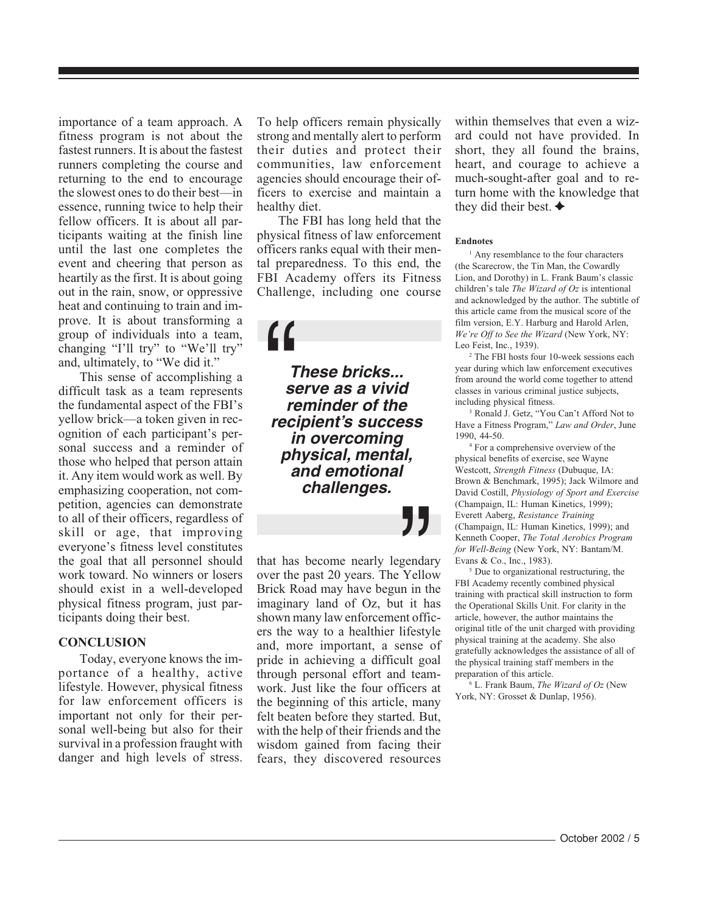importance of a team approach. A fitness program is not about the fastest runners. It is about the fastest runners completing the course and returning to the end to encourage the slowest ones to do their best—in essence, running twice to help their fellow officers. It is about all participants waiting at the finish line until the last one completes the event and cheering that person as heartily as the first. It is about going out in the rain, snow, or oppressive heat and continuing to train and improve. It is about transforming a group of individuals into a team, changing "I'll try" to "We'll try" and, ultimately, to "We did it."

This sense of accomplishing a difficult task as a team represents the fundamental aspect of the FBI's yellow brick—a token given in recognition of each participant's personal success and a reminder of those who helped that person attain it. Any item would work as well. By emphasizing cooperation, not competition, agencies can demonstrate to all of their officers, regardless of skill or age, that improving everyone's fitness level constitutes the goal that all personnel should work toward. No winners or losers should exist in a well-developed physical fitness program, just participants doing their best.

#### **CONCLUSION**

Today, everyone knows the importance of a healthy, active lifestyle. However, physical fitness for law enforcement officers is important not only for their personal well-being but also for their survival in a profession fraught with danger and high levels of stress. To help officers remain physically strong and mentally alert to perform their duties and protect their communities, law enforcement agencies should encourage their officers to exercise and maintain a healthy diet.

The FBI has long held that the physical fitness of law enforcement officers ranks equal with their mental preparedness. To this end, the FBI Academy offers its Fitness Challenge, including one course

**These bricks... serve as a vivid reminder of the rimese bricks...**<br>
serve as a vivid<br>
reminder of the<br>
recipient's success **in overcoming physical, mental, and emotional challenges.**

that has become nearly legendary over the past 20 years. The Yellow Brick Road may have begun in the imaginary land of Oz, but it has shown many law enforcement officers the way to a healthier lifestyle and, more important, a sense of pride in achieving a difficult goal through personal effort and teamwork. Just like the four officers at the beginning of this article, many felt beaten before they started. But, with the help of their friends and the wisdom gained from facing their fears, they discovered resources **J J**<br>
gendan<br>
Yello<br>
n in th<br>
t it ha

within themselves that even a wizard could not have provided. In short, they all found the brains, heart, and courage to achieve a much-sought-after goal and to return home with the knowledge that they did their best.  $\triangleleft$ 

#### **Endnotes**

<sup>1</sup> Any resemblance to the four characters (the Scarecrow, the Tin Man, the Cowardly Lion, and Dorothy) in L. Frank Baum's classic children's tale *The Wizard of Oz* is intentional and acknowledged by the author. The subtitle of this article came from the musical score of the film version, E.Y. Harburg and Harold Arlen, *We're Off to See the Wizard* (New York, NY: Leo Feist, Inc., 1939).

2 The FBI hosts four 10-week sessions each year during which law enforcement executives from around the world come together to attend classes in various criminal justice subjects, including physical fitness.

3 Ronald J. Getz, "You Can't Afford Not to Have a Fitness Program," *Law and Order*, June 1990, 44-50.

4 For a comprehensive overview of the physical benefits of exercise, see Wayne Westcott, *Strength Fitness* (Dubuque, IA: Brown & Benchmark, 1995); Jack Wilmore and David Costill, *Physiology of Sport and Exercise* (Champaign, IL: Human Kinetics, 1999); Everett Aaberg, *Resistance Training* (Champaign, IL: Human Kinetics, 1999); and Kenneth Cooper, *The Total Aerobics Program for Well-Being* (New York, NY: Bantam/M. Evans & Co., Inc., 1983).

<sup>5</sup> Due to organizational restructuring, the FBI Academy recently combined physical training with practical skill instruction to form the Operational Skills Unit. For clarity in the article, however, the author maintains the original title of the unit charged with providing physical training at the academy. She also gratefully acknowledges the assistance of all of the physical training staff members in the preparation of this article.

6 L. Frank Baum, *The Wizard of Oz* (New York, NY: Grosset & Dunlap, 1956).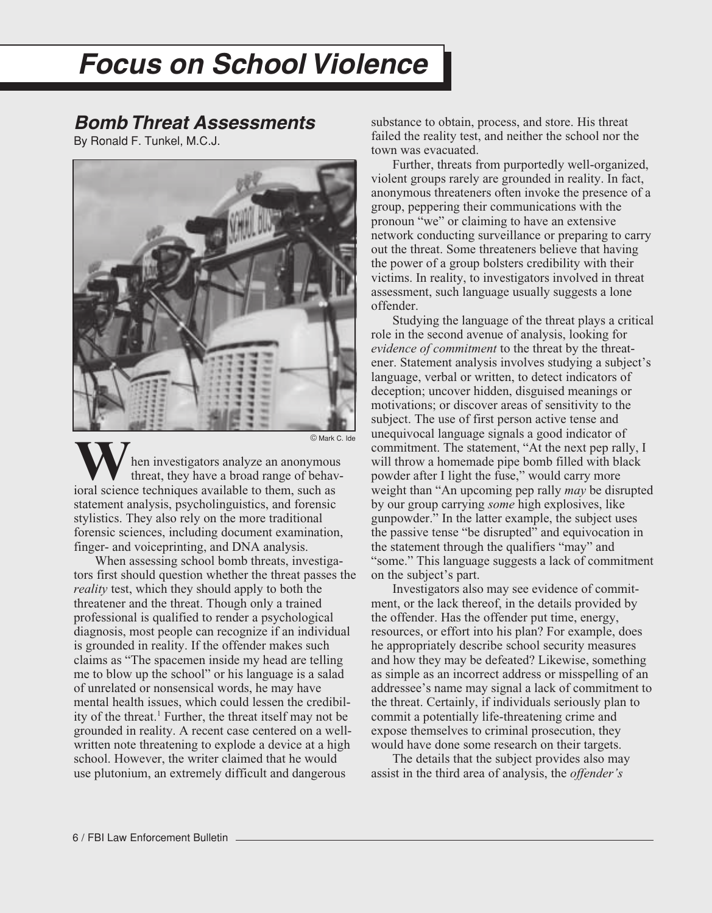# <span id="page-6-0"></span>**Focus on School Violence**

### **Bomb Threat Assessments**

By Ronald F. Tunkel, M.C.J.



hen investigators analyze an anonymous threat, they have a broad range of behav-**W** hen investigators analyze an anonymou threat, they have a broad range of behavioral science techniques available to them, such as statement analysis, psycholinguistics, and forensic stylistics. They also rely on the more traditional forensic sciences, including document examination, finger- and voiceprinting, and DNA analysis.

When assessing school bomb threats, investigators first should question whether the threat passes the *reality* test, which they should apply to both the threatener and the threat. Though only a trained professional is qualified to render a psychological diagnosis, most people can recognize if an individual is grounded in reality. If the offender makes such claims as "The spacemen inside my head are telling me to blow up the school" or his language is a salad of unrelated or nonsensical words, he may have mental health issues, which could lessen the credibility of the threat.<sup>1</sup> Further, the threat itself may not be grounded in reality. A recent case centered on a wellwritten note threatening to explode a device at a high school. However, the writer claimed that he would use plutonium, an extremely difficult and dangerous

substance to obtain, process, and store. His threat failed the reality test, and neither the school nor the town was evacuated.

Further, threats from purportedly well-organized, violent groups rarely are grounded in reality. In fact, anonymous threateners often invoke the presence of a group, peppering their communications with the pronoun "we" or claiming to have an extensive network conducting surveillance or preparing to carry out the threat. Some threateners believe that having the power of a group bolsters credibility with their victims. In reality, to investigators involved in threat assessment, such language usually suggests a lone offender.

Studying the language of the threat plays a critical role in the second avenue of analysis, looking for *evidence of commitment* to the threat by the threatener. Statement analysis involves studying a subject's language, verbal or written, to detect indicators of deception; uncover hidden, disguised meanings or motivations; or discover areas of sensitivity to the subject. The use of first person active tense and unequivocal language signals a good indicator of commitment. The statement, "At the next pep rally, I will throw a homemade pipe bomb filled with black powder after I light the fuse," would carry more weight than "An upcoming pep rally *may* be disrupted by our group carrying *some* high explosives, like gunpowder." In the latter example, the subject uses the passive tense "be disrupted" and equivocation in the statement through the qualifiers "may" and "some." This language suggests a lack of commitment on the subject's part.

Investigators also may see evidence of commitment, or the lack thereof, in the details provided by the offender. Has the offender put time, energy, resources, or effort into his plan? For example, does he appropriately describe school security measures and how they may be defeated? Likewise, something as simple as an incorrect address or misspelling of an addressee's name may signal a lack of commitment to the threat. Certainly, if individuals seriously plan to commit a potentially life-threatening crime and expose themselves to criminal prosecution, they would have done some research on their targets.

The details that the subject provides also may assist in the third area of analysis, the *offender's*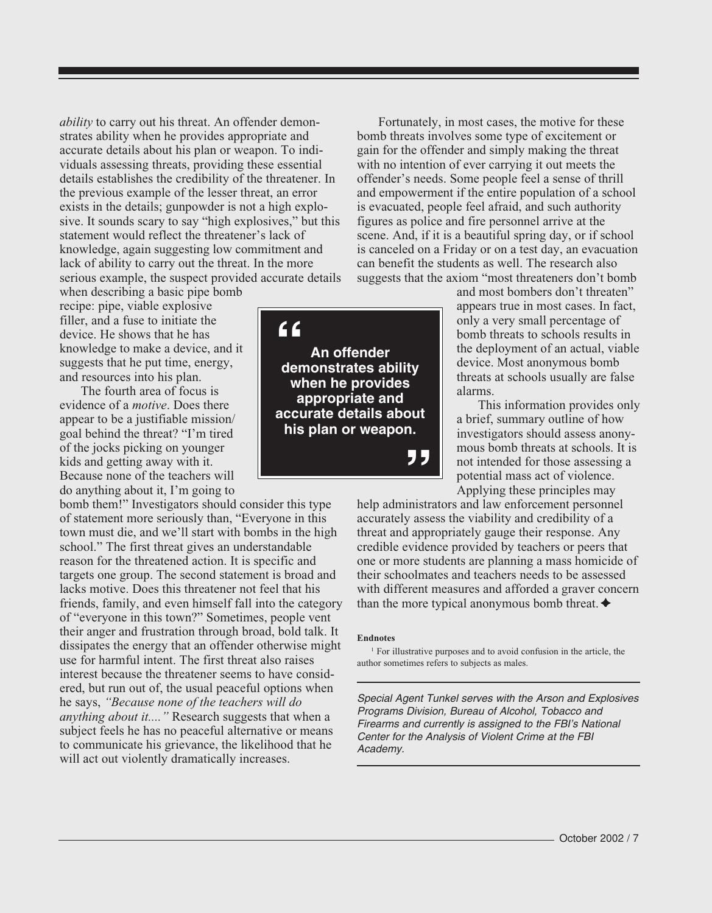*ability* to carry out his threat. An offender demonstrates ability when he provides appropriate and accurate details about his plan or weapon. To individuals assessing threats, providing these essential details establishes the credibility of the threatener. In the previous example of the lesser threat, an error exists in the details; gunpowder is not a high explosive. It sounds scary to say "high explosives," but this statement would reflect the threatener's lack of knowledge, again suggesting low commitment and lack of ability to carry out the threat. In the more serious example, the suspect provided accurate details

when describing a basic pipe bomb recipe: pipe, viable explosive filler, and a fuse to initiate the device. He shows that he has knowledge to make a device, and it suggests that he put time, energy, and resources into his plan.

The fourth area of focus is evidence of a *motive*. Does there appear to be a justifiable mission/ goal behind the threat? "I'm tired of the jocks picking on younger kids and getting away with it. Because none of the teachers will do anything about it, I'm going to

bomb them!" Investigators should consider this type of statement more seriously than, "Everyone in this town must die, and we'll start with bombs in the high school." The first threat gives an understandable reason for the threatened action. It is specific and targets one group. The second statement is broad and lacks motive. Does this threatener not feel that his friends, family, and even himself fall into the category of "everyone in this town?" Sometimes, people vent their anger and frustration through broad, bold talk. It dissipates the energy that an offender otherwise might use for harmful intent. The first threat also raises interest because the threatener seems to have considered, but run out of, the usual peaceful options when he says, *"Because none of the teachers will do anything about it...."* Research suggests that when a subject feels he has no peaceful alternative or means to communicate his grievance, the likelihood that he will act out violently dramatically increases.



Fortunately, in most cases, the motive for these bomb threats involves some type of excitement or gain for the offender and simply making the threat with no intention of ever carrying it out meets the offender's needs. Some people feel a sense of thrill and empowerment if the entire population of a school is evacuated, people feel afraid, and such authority figures as police and fire personnel arrive at the scene. And, if it is a beautiful spring day, or if school is canceled on a Friday or on a test day, an evacuation can benefit the students as well. The research also suggests that the axiom "most threateners don't bomb

> and most bombers don't threaten" appears true in most cases. In fact, only a very small percentage of bomb threats to schools results in the deployment of an actual, viable device. Most anonymous bomb threats at schools usually are false alarms.

> This information provides only a brief, summary outline of how investigators should assess anonymous bomb threats at schools. It is not intended for those assessing a potential mass act of violence. Applying these principles may

help administrators and law enforcement personnel accurately assess the viability and credibility of a threat and appropriately gauge their response. Any credible evidence provided by teachers or peers that one or more students are planning a mass homicide of their schoolmates and teachers needs to be assessed with different measures and afforded a graver concern than the more typical anonymous bomb threat.  $\triangleleft$ 

#### **Endnotes**

<sup>1</sup> For illustrative purposes and to avoid confusion in the article, the author sometimes refers to subjects as males.

Special Agent Tunkel serves with the Arson and Explosives Programs Division, Bureau of Alcohol, Tobacco and Firearms and currently is assigned to the FBI's National Center for the Analysis of Violent Crime at the FBI Academy.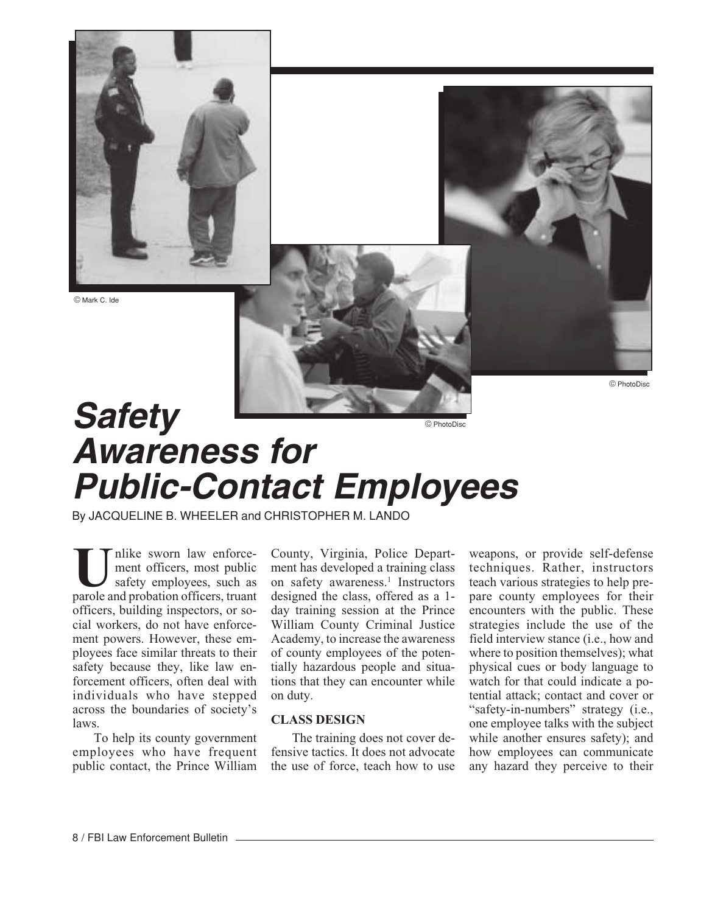<span id="page-8-0"></span>

© Mark C. Ide

© PhotoDisc

## **Safety Awareness for Public-Contact Employees** © PhotoDisc

By JACQUELINE B. WHEELER and CHRISTOPHER M. LANDO

nlike sworn law enforcement officers, most public safety employees, such as **U**part officers, most public<br>
safety employees, such as<br>
parole and probation officers, truant officers, building inspectors, or social workers, do not have enforcement powers. However, these employees face similar threats to their safety because they, like law enforcement officers, often deal with individuals who have stepped across the boundaries of society's laws.

To help its county government employees who have frequent public contact, the Prince William County, Virginia, Police Department has developed a training class on safety awareness.<sup>1</sup> Instructors designed the class, offered as a 1 day training session at the Prince William County Criminal Justice Academy, to increase the awareness of county employees of the potentially hazardous people and situations that they can encounter while on duty.

#### **CLASS DESIGN**

The training does not cover defensive tactics. It does not advocate the use of force, teach how to use

weapons, or provide self-defense techniques. Rather, instructors teach various strategies to help prepare county employees for their encounters with the public. These strategies include the use of the field interview stance (i.e., how and where to position themselves); what physical cues or body language to watch for that could indicate a potential attack; contact and cover or "safety-in-numbers" strategy (i.e., one employee talks with the subject while another ensures safety); and how employees can communicate any hazard they perceive to their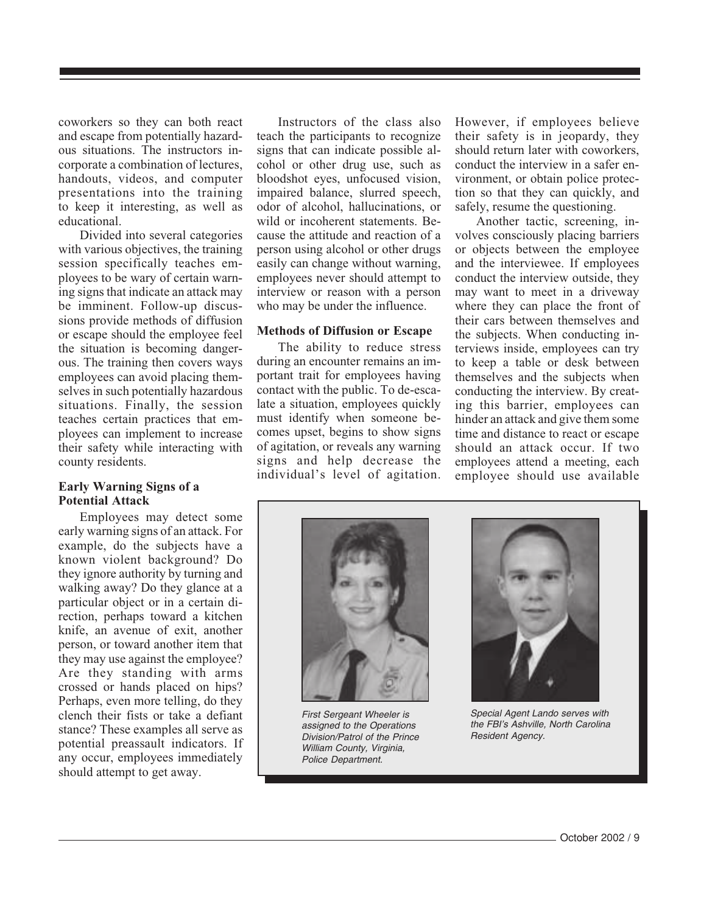coworkers so they can both react and escape from potentially hazardous situations. The instructors incorporate a combination of lectures, handouts, videos, and computer presentations into the training to keep it interesting, as well as educational.

Divided into several categories with various objectives, the training session specifically teaches employees to be wary of certain warning signs that indicate an attack may be imminent. Follow-up discussions provide methods of diffusion or escape should the employee feel the situation is becoming dangerous. The training then covers ways employees can avoid placing themselves in such potentially hazardous situations. Finally, the session teaches certain practices that employees can implement to increase their safety while interacting with county residents.

#### **Early Warning Signs of a Potential Attack**

Employees may detect some early warning signs of an attack. For example, do the subjects have a known violent background? Do they ignore authority by turning and walking away? Do they glance at a particular object or in a certain direction, perhaps toward a kitchen knife, an avenue of exit, another person, or toward another item that they may use against the employee? Are they standing with arms crossed or hands placed on hips? Perhaps, even more telling, do they clench their fists or take a defiant stance? These examples all serve as potential preassault indicators. If any occur, employees immediately should attempt to get away.

Instructors of the class also teach the participants to recognize signs that can indicate possible alcohol or other drug use, such as bloodshot eyes, unfocused vision, impaired balance, slurred speech, odor of alcohol, hallucinations, or wild or incoherent statements. Because the attitude and reaction of a person using alcohol or other drugs easily can change without warning, employees never should attempt to interview or reason with a person who may be under the influence.

#### **Methods of Diffusion or Escape**

The ability to reduce stress during an encounter remains an important trait for employees having contact with the public. To de-escalate a situation, employees quickly must identify when someone becomes upset, begins to show signs of agitation, or reveals any warning signs and help decrease the individual's level of agitation.

However, if employees believe their safety is in jeopardy, they should return later with coworkers, conduct the interview in a safer environment, or obtain police protection so that they can quickly, and safely, resume the questioning.

Another tactic, screening, involves consciously placing barriers or objects between the employee and the interviewee. If employees conduct the interview outside, they may want to meet in a driveway where they can place the front of their cars between themselves and the subjects. When conducting interviews inside, employees can try to keep a table or desk between themselves and the subjects when conducting the interview. By creating this barrier, employees can hinder an attack and give them some time and distance to react or escape should an attack occur. If two employees attend a meeting, each employee should use available



First Sergeant Wheeler is assigned to the Operations Division/Patrol of the Prince William County, Virginia, Police Department.



Special Agent Lando serves with the FBI's Ashville, North Carolina Resident Agency.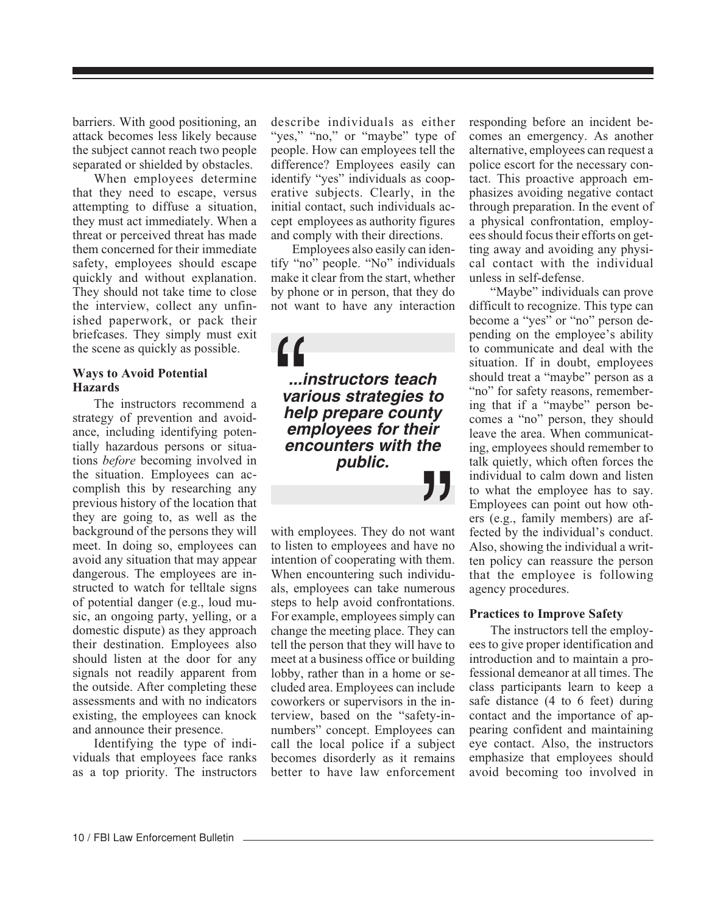barriers. With good positioning, an attack becomes less likely because the subject cannot reach two people separated or shielded by obstacles.

When employees determine that they need to escape, versus attempting to diffuse a situation, they must act immediately. When a threat or perceived threat has made them concerned for their immediate safety, employees should escape quickly and without explanation. They should not take time to close the interview, collect any unfinished paperwork, or pack their briefcases. They simply must exit the scene as quickly as possible.

#### **Ways to Avoid Potential Hazards**

The instructors recommend a strategy of prevention and avoidance, including identifying potentially hazardous persons or situations *before* becoming involved in the situation. Employees can accomplish this by researching any previous history of the location that they are going to, as well as the background of the persons they will meet. In doing so, employees can avoid any situation that may appear dangerous. The employees are instructed to watch for telltale signs of potential danger (e.g., loud music, an ongoing party, yelling, or a domestic dispute) as they approach their destination. Employees also should listen at the door for any signals not readily apparent from the outside. After completing these assessments and with no indicators existing, the employees can knock and announce their presence.

Identifying the type of individuals that employees face ranks as a top priority. The instructors describe individuals as either "yes," "no," or "maybe" type of people. How can employees tell the difference? Employees easily can identify "yes" individuals as cooperative subjects. Clearly, in the initial contact, such individuals accept employees as authority figures and comply with their directions.

Employees also easily can identify "no" people. "No" individuals make it clear from the start, whether by phone or in person, that they do not want to have any interaction

**...instructors teach various strategies to help prepare county employees for their encounters with the public.** "  $\begin{bmatrix} 1 \\ \frac{1}{2} \\ \frac{1}{2} \\ \frac{1}{2} \\ \frac{1}{2} \\ \frac{1}{2} \\ \frac{1}{2} \\ \frac{1}{2} \\ \frac{1}{2} \\ \frac{1}{2} \\ \frac{1}{2} \\ \frac{1}{2} \\ \frac{1}{2} \\ \frac{1}{2} \\ \frac{1}{2} \\ \frac{1}{2} \\ \frac{1}{2} \\ \frac{1}{2} \\ \frac{1}{2} \\ \frac{1}{2} \\ \frac{1}{2} \\ \frac{1}{2} \\ \frac{1}{2} \\ \frac{1}{2} \\ \frac{1}{2} \\ \frac{1}{2} \\ \frac{1}{2} \\ \frac{$ 

with employees. They do not want to listen to employees and have no intention of cooperating with them. When encountering such individuals, employees can take numerous steps to help avoid confrontations. For example, employees simply can change the meeting place. They can tell the person that they will have to meet at a business office or building lobby, rather than in a home or secluded area. Employees can include coworkers or supervisors in the interview, based on the "safety-innumbers" concept. Employees can call the local police if a subject becomes disorderly as it remains better to have law enforcement responding before an incident becomes an emergency. As another alternative, employees can request a police escort for the necessary contact. This proactive approach emphasizes avoiding negative contact through preparation. In the event of a physical confrontation, employees should focus their efforts on getting away and avoiding any physical contact with the individual unless in self-defense.

"Maybe" individuals can prove difficult to recognize. This type can become a "yes" or "no" person depending on the employee's ability to communicate and deal with the situation. If in doubt, employees should treat a "maybe" person as a "no" for safety reasons, remembering that if a "maybe" person becomes a "no" person, they should leave the area. When communicating, employees should remember to talk quietly, which often forces the individual to calm down and listen to what the employee has to say. Employees can point out how others (e.g., family members) are affected by the individual's conduct. Also, showing the individual a written policy can reassure the person that the employee is following agency procedures.

#### **Practices to Improve Safety**

The instructors tell the employees to give proper identification and introduction and to maintain a professional demeanor at all times. The class participants learn to keep a safe distance (4 to 6 feet) during contact and the importance of appearing confident and maintaining eye contact. Also, the instructors emphasize that employees should avoid becoming too involved in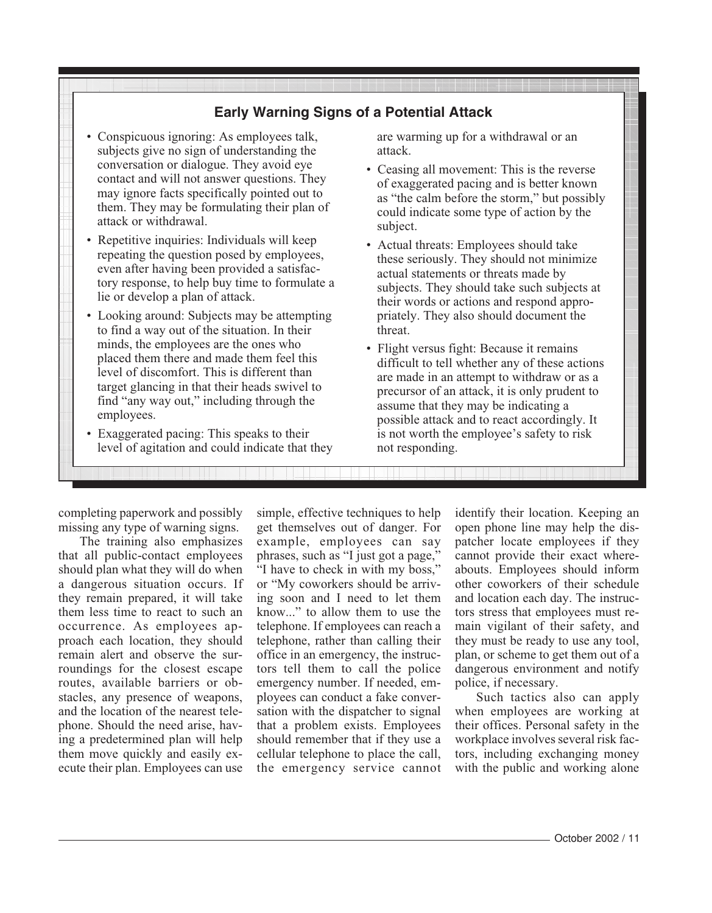### **Early Warning Signs of a Potential Attack**

- Conspicuous ignoring: As employees talk, subjects give no sign of understanding the conversation or dialogue. They avoid eye contact and will not answer questions. They may ignore facts specifically pointed out to them. They may be formulating their plan of attack or withdrawal.
- Repetitive inquiries: Individuals will keep repeating the question posed by employees, even after having been provided a satisfactory response, to help buy time to formulate a lie or develop a plan of attack.
- Looking around: Subjects may be attempting to find a way out of the situation. In their minds, the employees are the ones who placed them there and made them feel this level of discomfort. This is different than target glancing in that their heads swivel to find "any way out," including through the employees.
- Exaggerated pacing: This speaks to their level of agitation and could indicate that they

are warming up for a withdrawal or an attack.

- Ceasing all movement: This is the reverse of exaggerated pacing and is better known as "the calm before the storm," but possibly could indicate some type of action by the subject.
- Actual threats: Employees should take these seriously. They should not minimize actual statements or threats made by subjects. They should take such subjects at their words or actions and respond appropriately. They also should document the threat.
- Flight versus fight: Because it remains difficult to tell whether any of these actions are made in an attempt to withdraw or as a precursor of an attack, it is only prudent to assume that they may be indicating a possible attack and to react accordingly. It is not worth the employee's safety to risk not responding.

completing paperwork and possibly missing any type of warning signs.

The training also emphasizes that all public-contact employees should plan what they will do when a dangerous situation occurs. If they remain prepared, it will take them less time to react to such an occurrence. As employees approach each location, they should remain alert and observe the surroundings for the closest escape routes, available barriers or obstacles, any presence of weapons, and the location of the nearest telephone. Should the need arise, having a predetermined plan will help them move quickly and easily execute their plan. Employees can use simple, effective techniques to help get themselves out of danger. For example, employees can say phrases, such as "I just got a page," "I have to check in with my boss," or "My coworkers should be arriving soon and I need to let them know..." to allow them to use the telephone. If employees can reach a telephone, rather than calling their office in an emergency, the instructors tell them to call the police emergency number. If needed, employees can conduct a fake conversation with the dispatcher to signal that a problem exists. Employees should remember that if they use a cellular telephone to place the call, the emergency service cannot identify their location. Keeping an open phone line may help the dispatcher locate employees if they cannot provide their exact whereabouts. Employees should inform other coworkers of their schedule and location each day. The instructors stress that employees must remain vigilant of their safety, and they must be ready to use any tool, plan, or scheme to get them out of a dangerous environment and notify police, if necessary.

Such tactics also can apply when employees are working at their offices. Personal safety in the workplace involves several risk factors, including exchanging money with the public and working alone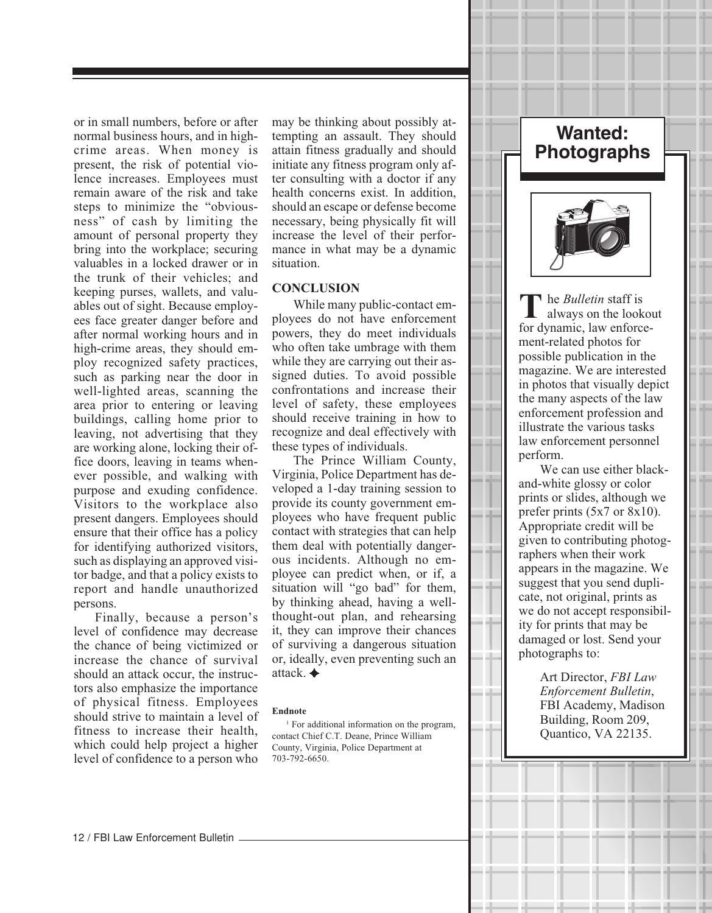or in small numbers, before or after normal business hours, and in highcrime areas. When money is present, the risk of potential violence increases. Employees must remain aware of the risk and take steps to minimize the "obviousness" of cash by limiting the amount of personal property they bring into the workplace; securing valuables in a locked drawer or in the trunk of their vehicles; and keeping purses, wallets, and valuables out of sight. Because employees face greater danger before and after normal working hours and in high-crime areas, they should employ recognized safety practices, such as parking near the door in well-lighted areas, scanning the area prior to entering or leaving buildings, calling home prior to leaving, not advertising that they are working alone, locking their office doors, leaving in teams whenever possible, and walking with purpose and exuding confidence. Visitors to the workplace also present dangers. Employees should ensure that their office has a policy for identifying authorized visitors, such as displaying an approved visitor badge, and that a policy exists to report and handle unauthorized persons.

Finally, because a person's level of confidence may decrease the chance of being victimized or increase the chance of survival should an attack occur, the instructors also emphasize the importance of physical fitness. Employees should strive to maintain a level of fitness to increase their health, which could help project a higher level of confidence to a person who may be thinking about possibly attempting an assault. They should attain fitness gradually and should initiate any fitness program only after consulting with a doctor if any health concerns exist. In addition, should an escape or defense become necessary, being physically fit will increase the level of their performance in what may be a dynamic situation.

#### **CONCLUSION**

While many public-contact employees do not have enforcement powers, they do meet individuals who often take umbrage with them while they are carrying out their assigned duties. To avoid possible confrontations and increase their level of safety, these employees should receive training in how to recognize and deal effectively with these types of individuals.

The Prince William County, Virginia, Police Department has developed a 1-day training session to provide its county government employees who have frequent public contact with strategies that can help them deal with potentially dangerous incidents. Although no employee can predict when, or if, a situation will "go bad" for them, by thinking ahead, having a wellthought-out plan, and rehearsing it, they can improve their chances of surviving a dangerous situation or, ideally, even preventing such an attack.

#### **Endnote**

<sup>1</sup> For additional information on the program, contact Chief C.T. Deane, Prince William County, Virginia, Police Department at 703-792-6650.

### **Wanted: Photographs**



he *Bulletin* staff is always on the lookout for dynamic, law enforcement-related photos for possible publication in the magazine. We are interested in photos that visually depict the many aspects of the law enforcement profession and illustrate the various tasks law enforcement personnel perform.

We can use either blackand-white glossy or color prints or slides, although we prefer prints (5x7 or 8x10). Appropriate credit will be given to contributing photographers when their work appears in the magazine. We suggest that you send duplicate, not original, prints as we do not accept responsibility for prints that may be damaged or lost. Send your photographs to:

> Art Director, *FBI Law Enforcement Bulletin*, FBI Academy, Madison Building, Room 209, Quantico, VA 22135.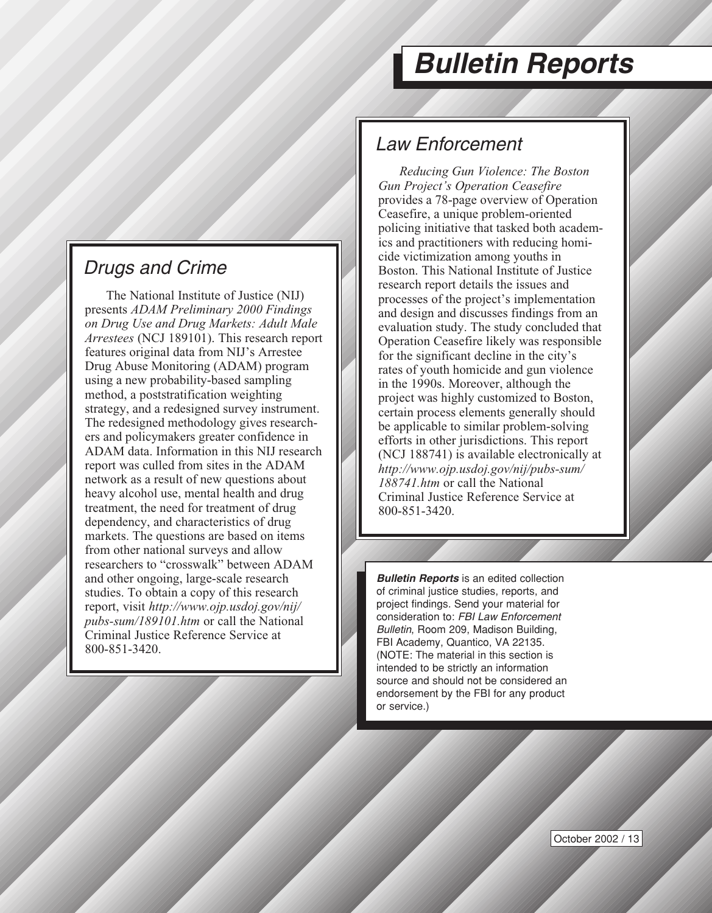# **Bulletin Reports**

## <span id="page-13-0"></span>Drugs and Crime

The National Institute of Justice (NIJ) presents *ADAM Preliminary 2000 Findings on Drug Use and Drug Markets: Adult Male Arrestees* (NCJ 189101). This research report features original data from NIJ's Arrestee Drug Abuse Monitoring (ADAM) program using a new probability-based sampling method, a poststratification weighting strategy, and a redesigned survey instrument. The redesigned methodology gives researchers and policymakers greater confidence in ADAM data. Information in this NIJ research report was culled from sites in the ADAM network as a result of new questions about heavy alcohol use, mental health and drug treatment, the need for treatment of drug dependency, and characteristics of drug markets. The questions are based on items from other national surveys and allow researchers to "crosswalk" between ADAM and other ongoing, large-scale research studies. To obtain a copy of this research report, visit *http://www.ojp.usdoj.gov/nij/ pubs-sum/189101.htm* or call the National Criminal Justice Reference Service at 800-851-3420.

### Law Enforcement

*Reducing Gun Violence: The Boston Gun Project's Operation Ceasefire* provides a 78-page overview of Operation Ceasefire, a unique problem-oriented policing initiative that tasked both academics and practitioners with reducing homicide victimization among youths in Boston. This National Institute of Justice research report details the issues and processes of the project's implementation and design and discusses findings from an evaluation study. The study concluded that Operation Ceasefire likely was responsible for the significant decline in the city's rates of youth homicide and gun violence in the 1990s. Moreover, although the project was highly customized to Boston, certain process elements generally should be applicable to similar problem-solving efforts in other jurisdictions. This report (NCJ 188741) is available electronically at *http://www.ojp.usdoj.gov/nij/pubs-sum/ 188741.htm* or call the National Criminal Justice Reference Service at 800-851-3420.

**Bulletin Reports** is an edited collection of criminal justice studies, reports, and project findings. Send your material for consideration to: FBI Law Enforcement Bulletin, Room 209, Madison Building, FBI Academy, Quantico, VA 22135. (NOTE: The material in this section is intended to be strictly an information source and should not be considered an endorsement by the FBI for any product or service.)

October 2002 / 13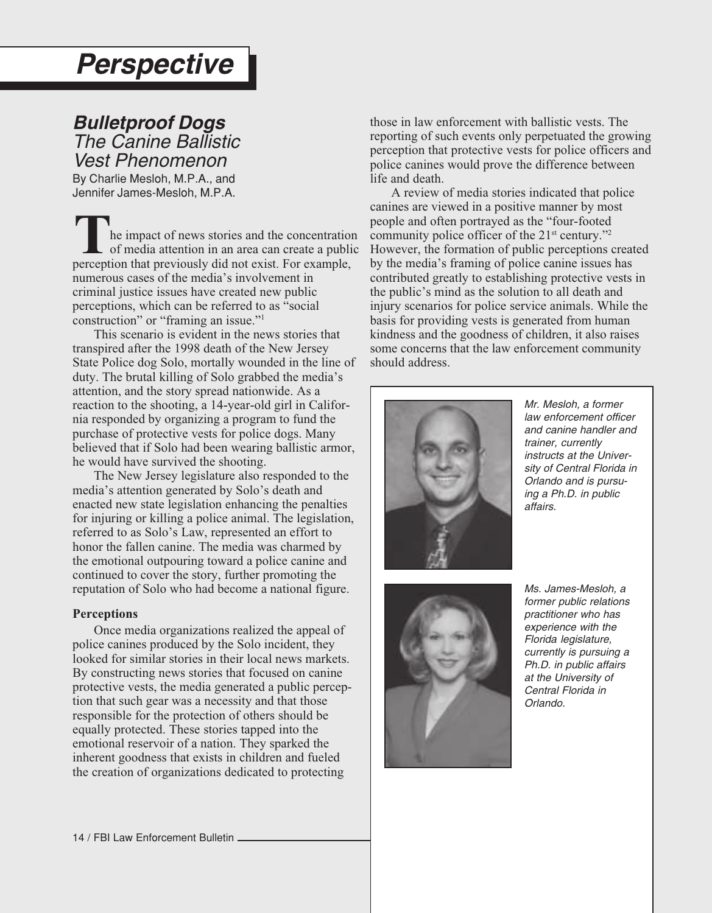## <span id="page-14-0"></span>**Perspective**

## **Bulletproof Dogs**

The Canine Ballistic Vest Phenomenon

By Charlie Mesloh, M.P.A., and Jennifer James-Mesloh, M.P.A.

he impact of news stories and the concentration of media attention in an area can create a public **T** he impact of news stories and the concentratio of media attention in an area can create a publisperception that previously did not exist. For example, numerous cases of the media's involvement in criminal justice issues have created new public perceptions, which can be referred to as "social construction" or "framing an issue."1

This scenario is evident in the news stories that transpired after the 1998 death of the New Jersey State Police dog Solo, mortally wounded in the line of duty. The brutal killing of Solo grabbed the media's attention, and the story spread nationwide. As a reaction to the shooting, a 14-year-old girl in California responded by organizing a program to fund the purchase of protective vests for police dogs. Many believed that if Solo had been wearing ballistic armor, he would have survived the shooting.

The New Jersey legislature also responded to the media's attention generated by Solo's death and enacted new state legislation enhancing the penalties for injuring or killing a police animal. The legislation, referred to as Solo's Law, represented an effort to honor the fallen canine. The media was charmed by the emotional outpouring toward a police canine and continued to cover the story, further promoting the reputation of Solo who had become a national figure.

#### **Perceptions**

Once media organizations realized the appeal of police canines produced by the Solo incident, they looked for similar stories in their local news markets. By constructing news stories that focused on canine protective vests, the media generated a public perception that such gear was a necessity and that those responsible for the protection of others should be equally protected. These stories tapped into the emotional reservoir of a nation. They sparked the inherent goodness that exists in children and fueled the creation of organizations dedicated to protecting

those in law enforcement with ballistic vests. The reporting of such events only perpetuated the growing perception that protective vests for police officers and police canines would prove the difference between life and death.

A review of media stories indicated that police canines are viewed in a positive manner by most people and often portrayed as the "four-footed community police officer of the  $21<sup>st</sup>$  century."<sup>2</sup> However, the formation of public perceptions created by the media's framing of police canine issues has contributed greatly to establishing protective vests in the public's mind as the solution to all death and injury scenarios for police service animals. While the basis for providing vests is generated from human kindness and the goodness of children, it also raises some concerns that the law enforcement community should address.



Mr. Mesloh, a former law enforcement officer and canine handler and trainer, currently instructs at the University of Central Florida in Orlando and is pursuing a Ph.D. in public affairs.



Ms. James-Mesloh, a former public relations practitioner who has experience with the Florida legislature, currently is pursuing a Ph.D. in public affairs at the University of Central Florida in Orlando.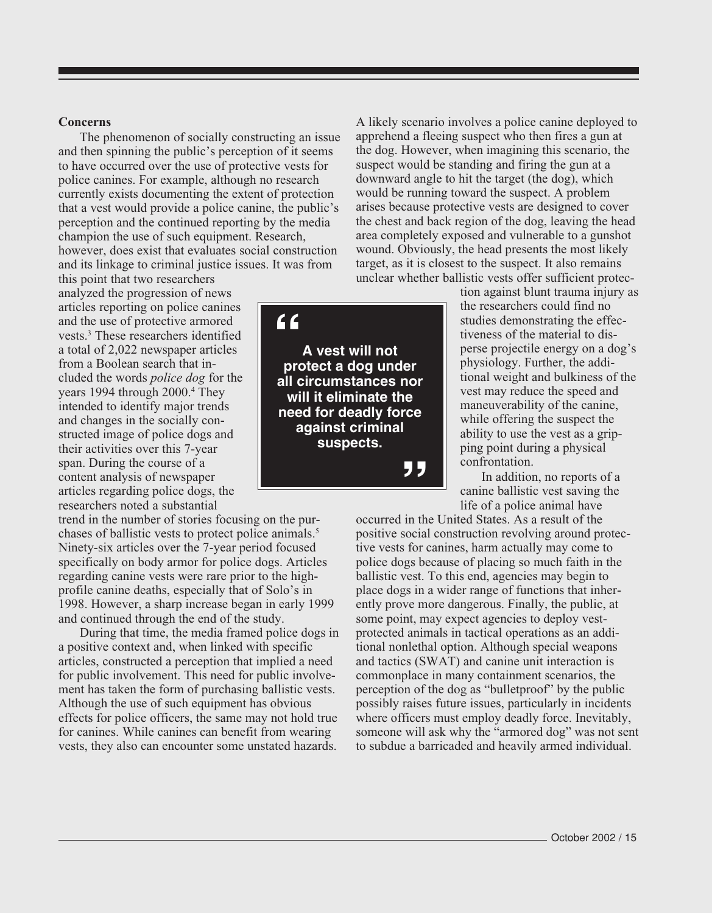#### **Concerns**

The phenomenon of socially constructing an issue and then spinning the public's perception of it seems to have occurred over the use of protective vests for police canines. For example, although no research currently exists documenting the extent of protection that a vest would provide a police canine, the public's perception and the continued reporting by the media champion the use of such equipment. Research, however, does exist that evaluates social construction and its linkage to criminal justice issues. It was from

this point that two researchers analyzed the progression of news articles reporting on police canines and the use of protective armored vests.3 These researchers identified a total of 2,022 newspaper articles from a Boolean search that included the words *police dog* for the years 1994 through 2000.4 They intended to identify major trends and changes in the socially constructed image of police dogs and their activities over this 7-year span. During the course of a content analysis of newspaper articles regarding police dogs, the researchers noted a substantial

trend in the number of stories focusing on the purchases of ballistic vests to protect police animals.<sup>5</sup> Ninety-six articles over the 7-year period focused specifically on body armor for police dogs. Articles regarding canine vests were rare prior to the highprofile canine deaths, especially that of Solo's in 1998. However, a sharp increase began in early 1999 and continued through the end of the study.

During that time, the media framed police dogs in a positive context and, when linked with specific articles, constructed a perception that implied a need for public involvement. This need for public involvement has taken the form of purchasing ballistic vests. Although the use of such equipment has obvious effects for police officers, the same may not hold true for canines. While canines can benefit from wearing vests, they also can encounter some unstated hazards.



A likely scenario involves a police canine deployed to apprehend a fleeing suspect who then fires a gun at the dog. However, when imagining this scenario, the suspect would be standing and firing the gun at a downward angle to hit the target (the dog), which would be running toward the suspect. A problem arises because protective vests are designed to cover the chest and back region of the dog, leaving the head area completely exposed and vulnerable to a gunshot wound. Obviously, the head presents the most likely target, as it is closest to the suspect. It also remains unclear whether ballistic vests offer sufficient protec-

> tion against blunt trauma injury as the researchers could find no studies demonstrating the effectiveness of the material to disperse projectile energy on a dog's physiology. Further, the additional weight and bulkiness of the vest may reduce the speed and maneuverability of the canine, while offering the suspect the ability to use the vest as a gripping point during a physical confrontation.

In addition, no reports of a canine ballistic vest saving the life of a police animal have

occurred in the United States. As a result of the positive social construction revolving around protective vests for canines, harm actually may come to police dogs because of placing so much faith in the ballistic vest. To this end, agencies may begin to place dogs in a wider range of functions that inherently prove more dangerous. Finally, the public, at some point, may expect agencies to deploy vestprotected animals in tactical operations as an additional nonlethal option. Although special weapons and tactics (SWAT) and canine unit interaction is commonplace in many containment scenarios, the perception of the dog as "bulletproof" by the public possibly raises future issues, particularly in incidents where officers must employ deadly force. Inevitably, someone will ask why the "armored dog" was not sent to subdue a barricaded and heavily armed individual.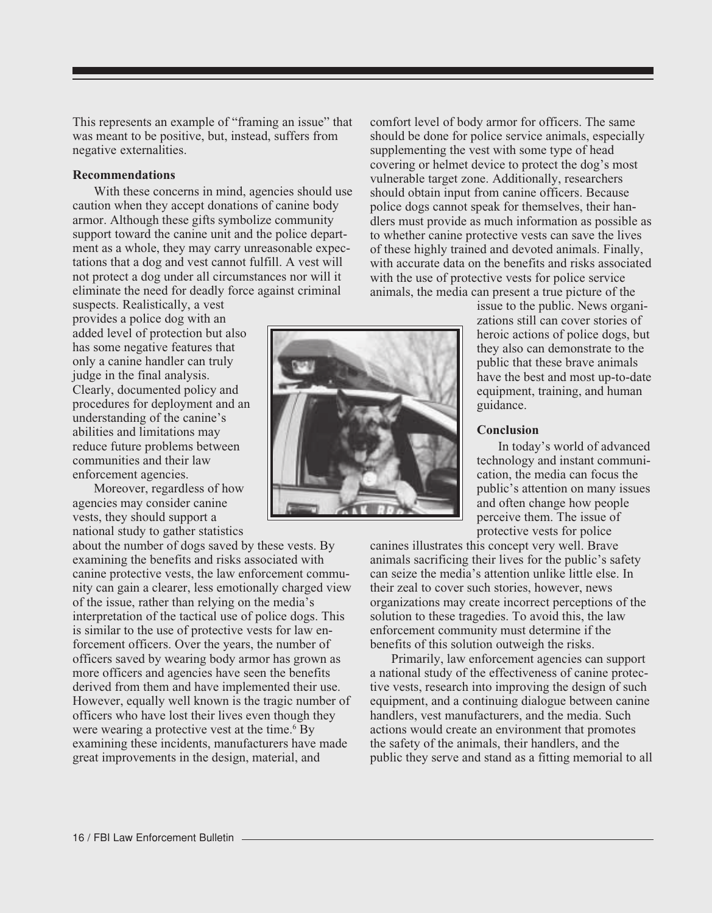This represents an example of "framing an issue" that was meant to be positive, but, instead, suffers from negative externalities.

#### **Recommendations**

With these concerns in mind, agencies should use caution when they accept donations of canine body armor. Although these gifts symbolize community support toward the canine unit and the police department as a whole, they may carry unreasonable expectations that a dog and vest cannot fulfill. A vest will not protect a dog under all circumstances nor will it eliminate the need for deadly force against criminal

suspects. Realistically, a vest provides a police dog with an added level of protection but also has some negative features that only a canine handler can truly judge in the final analysis. Clearly, documented policy and procedures for deployment and an understanding of the canine's abilities and limitations may reduce future problems between communities and their law enforcement agencies.

Moreover, regardless of how agencies may consider canine vests, they should support a national study to gather statistics

about the number of dogs saved by these vests. By examining the benefits and risks associated with canine protective vests, the law enforcement community can gain a clearer, less emotionally charged view of the issue, rather than relying on the media's interpretation of the tactical use of police dogs. This is similar to the use of protective vests for law enforcement officers. Over the years, the number of officers saved by wearing body armor has grown as more officers and agencies have seen the benefits derived from them and have implemented their use. However, equally well known is the tragic number of officers who have lost their lives even though they were wearing a protective vest at the time.<sup>6</sup> By examining these incidents, manufacturers have made great improvements in the design, material, and



comfort level of body armor for officers. The same should be done for police service animals, especially supplementing the vest with some type of head covering or helmet device to protect the dog's most vulnerable target zone. Additionally, researchers should obtain input from canine officers. Because police dogs cannot speak for themselves, their handlers must provide as much information as possible as to whether canine protective vests can save the lives of these highly trained and devoted animals. Finally, with accurate data on the benefits and risks associated with the use of protective vests for police service animals, the media can present a true picture of the

issue to the public. News organizations still can cover stories of heroic actions of police dogs, but they also can demonstrate to the public that these brave animals have the best and most up-to-date equipment, training, and human guidance.

#### **Conclusion**

In today's world of advanced technology and instant communication, the media can focus the public's attention on many issues and often change how people perceive them. The issue of protective vests for police

canines illustrates this concept very well. Brave animals sacrificing their lives for the public's safety can seize the media's attention unlike little else. In their zeal to cover such stories, however, news organizations may create incorrect perceptions of the solution to these tragedies. To avoid this, the law enforcement community must determine if the benefits of this solution outweigh the risks.

Primarily, law enforcement agencies can support a national study of the effectiveness of canine protective vests, research into improving the design of such equipment, and a continuing dialogue between canine handlers, vest manufacturers, and the media. Such actions would create an environment that promotes the safety of the animals, their handlers, and the public they serve and stand as a fitting memorial to all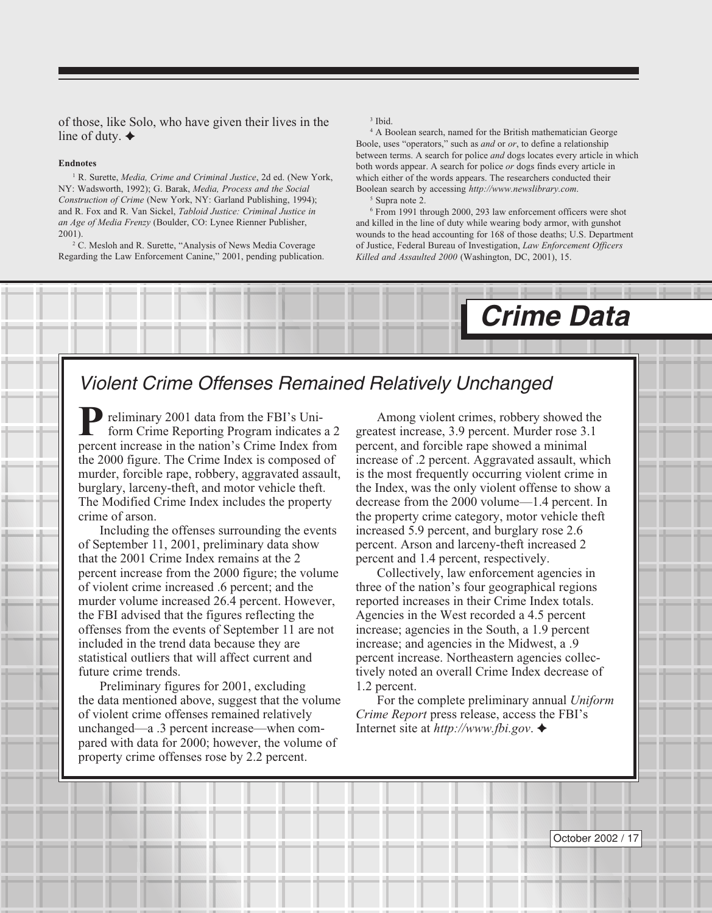<span id="page-17-0"></span>of those, like Solo, who have given their lives in the line of duty.  $\triangleleft$ 

#### **Endnotes**

<sup>1</sup> R. Surette, *Media, Crime and Criminal Justice*, 2d ed. (New York, NY: Wadsworth, 1992); G. Barak, *Media, Process and the Social Construction of Crime* (New York, NY: Garland Publishing, 1994); and R. Fox and R. Van Sickel, *Tabloid Justice: Criminal Justice in an Age of Media Frenzy* (Boulder, CO: Lynee Rienner Publisher, 2001).

<sup>2</sup> C. Mesloh and R. Surette, "Analysis of News Media Coverage Regarding the Law Enforcement Canine," 2001, pending publication.

#### 3 Ibid.

4 A Boolean search, named for the British mathematician George Boole, uses "operators," such as *and* or *or*, to define a relationship between terms. A search for police *and* dogs locates every article in which both words appear. A search for police *or* dogs finds every article in which either of the words appears. The researchers conducted their Boolean search by accessing *http://www.newslibrary.com*.

5 Supra note 2.

6 From 1991 through 2000, 293 law enforcement officers were shot and killed in the line of duty while wearing body armor, with gunshot wounds to the head accounting for 168 of those deaths; U.S. Department of Justice, Federal Bureau of Investigation, *Law Enforcement Officers Killed and Assaulted 2000* (Washington, DC, 2001), 15.

**Crime Data**



reliminary 2001 data from the FBI's Uniform Crime Reporting Program indicates a 2 **P** reliminary 2001 data from the FBI's Uniform Crime Reporting Program indicates a 2 percent increase in the nation's Crime Index from the 2000 figure. The Crime Index is composed of murder, forcible rape, robbery, aggravated assault, burglary, larceny-theft, and motor vehicle theft. The Modified Crime Index includes the property crime of arson.

Including the offenses surrounding the events of September 11, 2001, preliminary data show that the 2001 Crime Index remains at the 2 percent increase from the 2000 figure; the volume of violent crime increased .6 percent; and the murder volume increased 26.4 percent. However, the FBI advised that the figures reflecting the offenses from the events of September 11 are not included in the trend data because they are statistical outliers that will affect current and future crime trends.

Preliminary figures for 2001, excluding the data mentioned above, suggest that the volume of violent crime offenses remained relatively unchanged—a .3 percent increase—when compared with data for 2000; however, the volume of property crime offenses rose by 2.2 percent.

Among violent crimes, robbery showed the greatest increase, 3.9 percent. Murder rose 3.1 percent, and forcible rape showed a minimal increase of .2 percent. Aggravated assault, which is the most frequently occurring violent crime in the Index, was the only violent offense to show a decrease from the 2000 volume—1.4 percent. In the property crime category, motor vehicle theft increased 5.9 percent, and burglary rose 2.6 percent. Arson and larceny-theft increased 2 percent and 1.4 percent, respectively.

Collectively, law enforcement agencies in three of the nation's four geographical regions reported increases in their Crime Index totals. Agencies in the West recorded a 4.5 percent increase; agencies in the South, a 1.9 percent increase; and agencies in the Midwest, a .9 percent increase. Northeastern agencies collectively noted an overall Crime Index decrease of 1.2 percent.

For the complete preliminary annual *Uniform Crime Report* press release, access the FBI's Internet site at *http://www.fbi.gov*.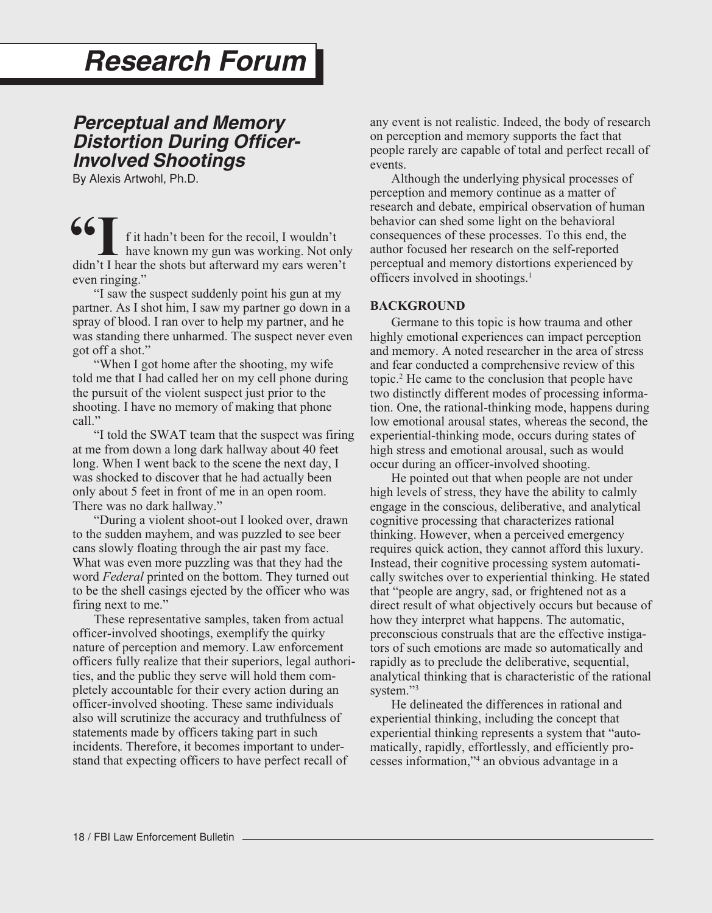## <span id="page-18-0"></span>**Research Forum**

### **Perceptual and Memory Distortion During Officer-Involved Shootings**

By Alexis Artwohl, Ph.D.

**66** I f it hadn't been for the recoil, I wouldn't have known my gun was working. Not only didn't I hear the shots but afterward my ears weren't even ringing."

"I saw the suspect suddenly point his gun at my partner. As I shot him, I saw my partner go down in a spray of blood. I ran over to help my partner, and he was standing there unharmed. The suspect never even got off a shot."

"When I got home after the shooting, my wife told me that I had called her on my cell phone during the pursuit of the violent suspect just prior to the shooting. I have no memory of making that phone call."

"I told the SWAT team that the suspect was firing at me from down a long dark hallway about 40 feet long. When I went back to the scene the next day, I was shocked to discover that he had actually been only about 5 feet in front of me in an open room. There was no dark hallway."

"During a violent shoot-out I looked over, drawn to the sudden mayhem, and was puzzled to see beer cans slowly floating through the air past my face. What was even more puzzling was that they had the word *Federal* printed on the bottom. They turned out to be the shell casings ejected by the officer who was firing next to me."

These representative samples, taken from actual officer-involved shootings, exemplify the quirky nature of perception and memory. Law enforcement officers fully realize that their superiors, legal authorities, and the public they serve will hold them completely accountable for their every action during an officer-involved shooting. These same individuals also will scrutinize the accuracy and truthfulness of statements made by officers taking part in such incidents. Therefore, it becomes important to understand that expecting officers to have perfect recall of

any event is not realistic. Indeed, the body of research on perception and memory supports the fact that people rarely are capable of total and perfect recall of events.

Although the underlying physical processes of perception and memory continue as a matter of research and debate, empirical observation of human behavior can shed some light on the behavioral consequences of these processes. To this end, the author focused her research on the self-reported perceptual and memory distortions experienced by officers involved in shootings.1

#### **BACKGROUND**

Germane to this topic is how trauma and other highly emotional experiences can impact perception and memory. A noted researcher in the area of stress and fear conducted a comprehensive review of this topic.2 He came to the conclusion that people have two distinctly different modes of processing information. One, the rational-thinking mode, happens during low emotional arousal states, whereas the second, the experiential-thinking mode, occurs during states of high stress and emotional arousal, such as would occur during an officer-involved shooting.

He pointed out that when people are not under high levels of stress, they have the ability to calmly engage in the conscious, deliberative, and analytical cognitive processing that characterizes rational thinking. However, when a perceived emergency requires quick action, they cannot afford this luxury. Instead, their cognitive processing system automatically switches over to experiential thinking. He stated that "people are angry, sad, or frightened not as a direct result of what objectively occurs but because of how they interpret what happens. The automatic, preconscious construals that are the effective instigators of such emotions are made so automatically and rapidly as to preclude the deliberative, sequential, analytical thinking that is characteristic of the rational system."<sup>3</sup>

He delineated the differences in rational and experiential thinking, including the concept that experiential thinking represents a system that "automatically, rapidly, effortlessly, and efficiently processes information,"4 an obvious advantage in a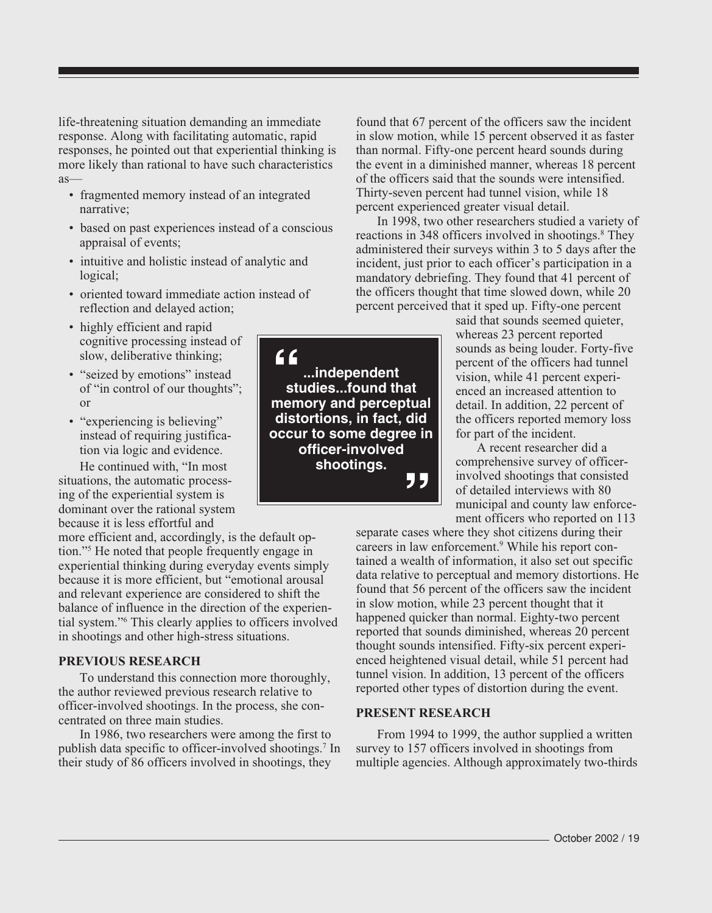life-threatening situation demanding an immediate response. Along with facilitating automatic, rapid responses, he pointed out that experiential thinking is more likely than rational to have such characteristics as—

- fragmented memory instead of an integrated narrative;
- based on past experiences instead of a conscious appraisal of events;
- intuitive and holistic instead of analytic and logical;
- oriented toward immediate action instead of reflection and delayed action;
- highly efficient and rapid cognitive processing instead of slow, deliberative thinking;
- "seized by emotions" instead of "in control of our thoughts"; or
- "experiencing is believing" instead of requiring justification via logic and evidence.

He continued with, "In most situations, the automatic processing of the experiential system is dominant over the rational system because it is less effortful and

more efficient and, accordingly, is the default option."5 He noted that people frequently engage in experiential thinking during everyday events simply because it is more efficient, but "emotional arousal and relevant experience are considered to shift the balance of influence in the direction of the experiential system."6 This clearly applies to officers involved in shootings and other high-stress situations.

#### **PREVIOUS RESEARCH**

To understand this connection more thoroughly, the author reviewed previous research relative to officer-involved shootings. In the process, she concentrated on three main studies.

In 1986, two researchers were among the first to publish data specific to officer-involved shootings.7 In their study of 86 officers involved in shootings, they

found that 67 percent of the officers saw the incident in slow motion, while 15 percent observed it as faster than normal. Fifty-one percent heard sounds during the event in a diminished manner, whereas 18 percent of the officers said that the sounds were intensified. Thirty-seven percent had tunnel vision, while 18 percent experienced greater visual detail.

In 1998, two other researchers studied a variety of reactions in 348 officers involved in shootings.<sup>8</sup> They administered their surveys within 3 to 5 days after the incident, just prior to each officer's participation in a mandatory debriefing. They found that 41 percent of the officers thought that time slowed down, while 20 percent perceived that it sped up. Fifty-one percent

said that sounds seemed quieter, whereas 23 percent reported sounds as being louder. Forty-five percent of the officers had tunnel vision, while 41 percent experienced an increased attention to detail. In addition, 22 percent of the officers reported memory loss for part of the incident.

A recent researcher did a comprehensive survey of officerinvolved shootings that consisted of detailed interviews with 80 municipal and county law enforcement officers who reported on 113

separate cases where they shot citizens during their careers in law enforcement.<sup>9</sup> While his report contained a wealth of information, it also set out specific data relative to perceptual and memory distortions. He found that 56 percent of the officers saw the incident in slow motion, while 23 percent thought that it happened quicker than normal. Eighty-two percent reported that sounds diminished, whereas 20 percent thought sounds intensified. Fifty-six percent experienced heightened visual detail, while 51 percent had tunnel vision. In addition, 13 percent of the officers reported other types of distortion during the event.

#### **PRESENT RESEARCH**

From 1994 to 1999, the author supplied a written survey to 157 officers involved in shootings from multiple agencies. Although approximately two-thirds

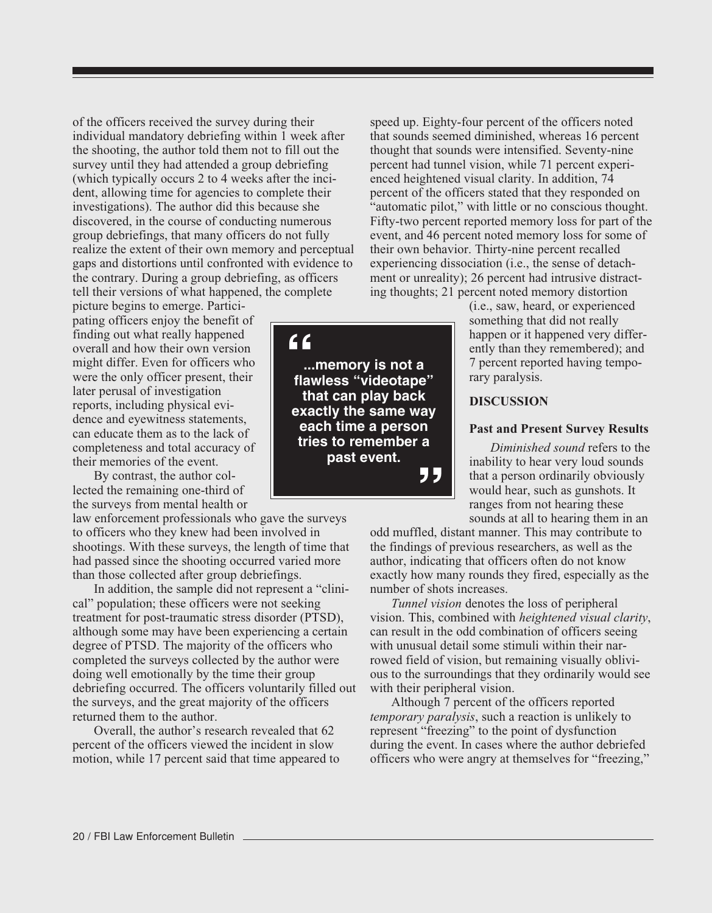of the officers received the survey during their individual mandatory debriefing within 1 week after the shooting, the author told them not to fill out the survey until they had attended a group debriefing (which typically occurs 2 to 4 weeks after the incident, allowing time for agencies to complete their investigations). The author did this because she discovered, in the course of conducting numerous group debriefings, that many officers do not fully realize the extent of their own memory and perceptual gaps and distortions until confronted with evidence to the contrary. During a group debriefing, as officers tell their versions of what happened, the complete

picture begins to emerge. Participating officers enjoy the benefit of finding out what really happened overall and how their own version might differ. Even for officers who were the only officer present, their later perusal of investigation reports, including physical evidence and eyewitness statements, can educate them as to the lack of completeness and total accuracy of their memories of the event.

By contrast, the author collected the remaining one-third of the surveys from mental health or

law enforcement professionals who gave the surveys to officers who they knew had been involved in shootings. With these surveys, the length of time that had passed since the shooting occurred varied more than those collected after group debriefings.

In addition, the sample did not represent a "clinical" population; these officers were not seeking treatment for post-traumatic stress disorder (PTSD), although some may have been experiencing a certain degree of PTSD. The majority of the officers who completed the surveys collected by the author were doing well emotionally by the time their group debriefing occurred. The officers voluntarily filled out the surveys, and the great majority of the officers returned them to the author.

Overall, the author's research revealed that 62 percent of the officers viewed the incident in slow motion, while 17 percent said that time appeared to speed up. Eighty-four percent of the officers noted that sounds seemed diminished, whereas 16 percent thought that sounds were intensified. Seventy-nine percent had tunnel vision, while 71 percent experienced heightened visual clarity. In addition, 74 percent of the officers stated that they responded on "automatic pilot," with little or no conscious thought. Fifty-two percent reported memory loss for part of the event, and 46 percent noted memory loss for some of their own behavior. Thirty-nine percent recalled experiencing dissociation (i.e., the sense of detachment or unreality); 26 percent had intrusive distracting thoughts; 21 percent noted memory distortion

(i.e., saw, heard, or experienced something that did not really happen or it happened very differently than they remembered); and 7 percent reported having temporary paralysis.

#### **DISCUSSION**

#### **Past and Present Survey Results**

*Diminished sound* refers to the inability to hear very loud sounds that a person ordinarily obviously would hear, such as gunshots. It ranges from not hearing these sounds at all to hearing them in an

odd muffled, distant manner. This may contribute to the findings of previous researchers, as well as the author, indicating that officers often do not know exactly how many rounds they fired, especially as the number of shots increases.

*Tunnel vision* denotes the loss of peripheral vision. This, combined with *heightened visual clarity*, can result in the odd combination of officers seeing with unusual detail some stimuli within their narrowed field of vision, but remaining visually oblivious to the surroundings that they ordinarily would see with their peripheral vision.

Although 7 percent of the officers reported *temporary paralysis*, such a reaction is unlikely to represent "freezing" to the point of dysfunction during the event. In cases where the author debriefed officers who were angry at themselves for "freezing,"

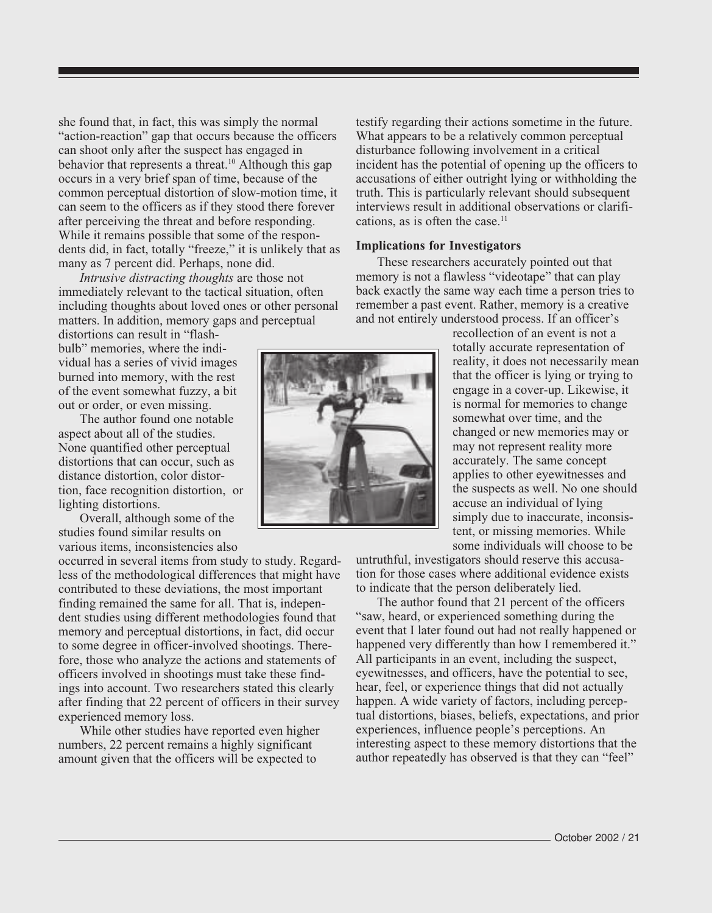she found that, in fact, this was simply the normal "action-reaction" gap that occurs because the officers can shoot only after the suspect has engaged in behavior that represents a threat.<sup>10</sup> Although this gap occurs in a very brief span of time, because of the common perceptual distortion of slow-motion time, it can seem to the officers as if they stood there forever after perceiving the threat and before responding. While it remains possible that some of the respondents did, in fact, totally "freeze," it is unlikely that as many as 7 percent did. Perhaps, none did.

*Intrusive distracting thoughts* are those not immediately relevant to the tactical situation, often including thoughts about loved ones or other personal matters. In addition, memory gaps and perceptual

distortions can result in "flashbulb" memories, where the individual has a series of vivid images burned into memory, with the rest of the event somewhat fuzzy, a bit out or order, or even missing.

The author found one notable aspect about all of the studies. None quantified other perceptual distortions that can occur, such as distance distortion, color distortion, face recognition distortion, or lighting distortions.

Overall, although some of the studies found similar results on various items, inconsistencies also

occurred in several items from study to study. Regardless of the methodological differences that might have contributed to these deviations, the most important finding remained the same for all. That is, independent studies using different methodologies found that memory and perceptual distortions, in fact, did occur to some degree in officer-involved shootings. Therefore, those who analyze the actions and statements of officers involved in shootings must take these findings into account. Two researchers stated this clearly after finding that 22 percent of officers in their survey experienced memory loss.

While other studies have reported even higher numbers, 22 percent remains a highly significant amount given that the officers will be expected to

testify regarding their actions sometime in the future. What appears to be a relatively common perceptual disturbance following involvement in a critical incident has the potential of opening up the officers to accusations of either outright lying or withholding the truth. This is particularly relevant should subsequent interviews result in additional observations or clarifications, as is often the case. $<sup>11</sup>$ </sup>

#### **Implications for Investigators**

These researchers accurately pointed out that memory is not a flawless "videotape" that can play back exactly the same way each time a person tries to remember a past event. Rather, memory is a creative and not entirely understood process. If an officer's

recollection of an event is not a totally accurate representation of reality, it does not necessarily mean that the officer is lying or trying to engage in a cover-up. Likewise, it is normal for memories to change somewhat over time, and the changed or new memories may or may not represent reality more accurately. The same concept applies to other eyewitnesses and the suspects as well. No one should accuse an individual of lying simply due to inaccurate, inconsistent, or missing memories. While some individuals will choose to be

untruthful, investigators should reserve this accusation for those cases where additional evidence exists to indicate that the person deliberately lied.

The author found that 21 percent of the officers "saw, heard, or experienced something during the event that I later found out had not really happened or happened very differently than how I remembered it." All participants in an event, including the suspect, eyewitnesses, and officers, have the potential to see, hear, feel, or experience things that did not actually happen. A wide variety of factors, including perceptual distortions, biases, beliefs, expectations, and prior experiences, influence people's perceptions. An interesting aspect to these memory distortions that the author repeatedly has observed is that they can "feel"

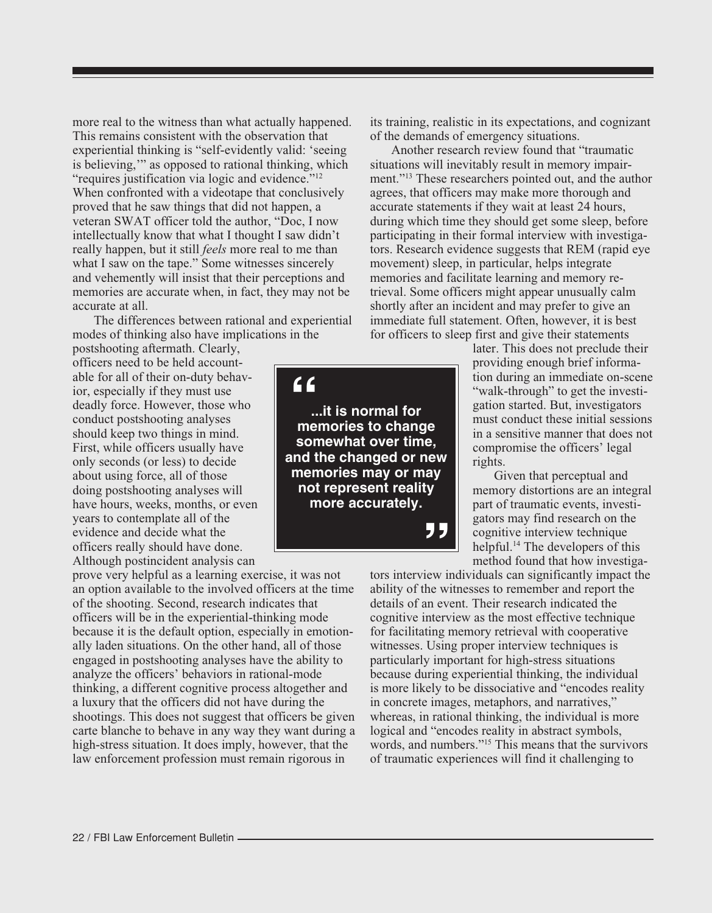more real to the witness than what actually happened. This remains consistent with the observation that experiential thinking is "self-evidently valid: 'seeing is believing,'" as opposed to rational thinking, which "requires justification via logic and evidence."12 When confronted with a videotape that conclusively proved that he saw things that did not happen, a veteran SWAT officer told the author, "Doc, I now intellectually know that what I thought I saw didn't really happen, but it still *feels* more real to me than what I saw on the tape." Some witnesses sincerely and vehemently will insist that their perceptions and memories are accurate when, in fact, they may not be accurate at all.

The differences between rational and experiential modes of thinking also have implications in the

postshooting aftermath. Clearly, officers need to be held accountable for all of their on-duty behavior, especially if they must use deadly force. However, those who conduct postshooting analyses should keep two things in mind. First, while officers usually have only seconds (or less) to decide about using force, all of those doing postshooting analyses will have hours, weeks, months, or even years to contemplate all of the evidence and decide what the officers really should have done. Although postincident analysis can

prove very helpful as a learning exercise, it was not an option available to the involved officers at the time of the shooting. Second, research indicates that officers will be in the experiential-thinking mode because it is the default option, especially in emotionally laden situations. On the other hand, all of those engaged in postshooting analyses have the ability to analyze the officers' behaviors in rational-mode thinking, a different cognitive process altogether and a luxury that the officers did not have during the shootings. This does not suggest that officers be given carte blanche to behave in any way they want during a high-stress situation. It does imply, however, that the law enforcement profession must remain rigorous in

its training, realistic in its expectations, and cognizant of the demands of emergency situations.

Another research review found that "traumatic situations will inevitably result in memory impairment."13 These researchers pointed out, and the author agrees, that officers may make more thorough and accurate statements if they wait at least 24 hours, during which time they should get some sleep, before participating in their formal interview with investigators. Research evidence suggests that REM (rapid eye movement) sleep, in particular, helps integrate memories and facilitate learning and memory retrieval. Some officers might appear unusually calm shortly after an incident and may prefer to give an immediate full statement. Often, however, it is best for officers to sleep first and give their statements

> later. This does not preclude their providing enough brief information during an immediate on-scene "walk-through" to get the investigation started. But, investigators must conduct these initial sessions in a sensitive manner that does not compromise the officers' legal rights.

> Given that perceptual and memory distortions are an integral part of traumatic events, investigators may find research on the cognitive interview technique helpful.<sup>14</sup> The developers of this method found that how investiga-

tors interview individuals can significantly impact the ability of the witnesses to remember and report the details of an event. Their research indicated the cognitive interview as the most effective technique for facilitating memory retrieval with cooperative witnesses. Using proper interview techniques is particularly important for high-stress situations because during experiential thinking, the individual is more likely to be dissociative and "encodes reality in concrete images, metaphors, and narratives," whereas, in rational thinking, the individual is more logical and "encodes reality in abstract symbols, words, and numbers."15 This means that the survivors of traumatic experiences will find it challenging to

**EXECUTE IS NOTTIMEL TOP**<br> **ADDED SOMEWHAT OVER TIME,**<br> **and the changed or new " " ...it is normal for memories to change somewhat over time, memories may or may not represent reality more accurately.**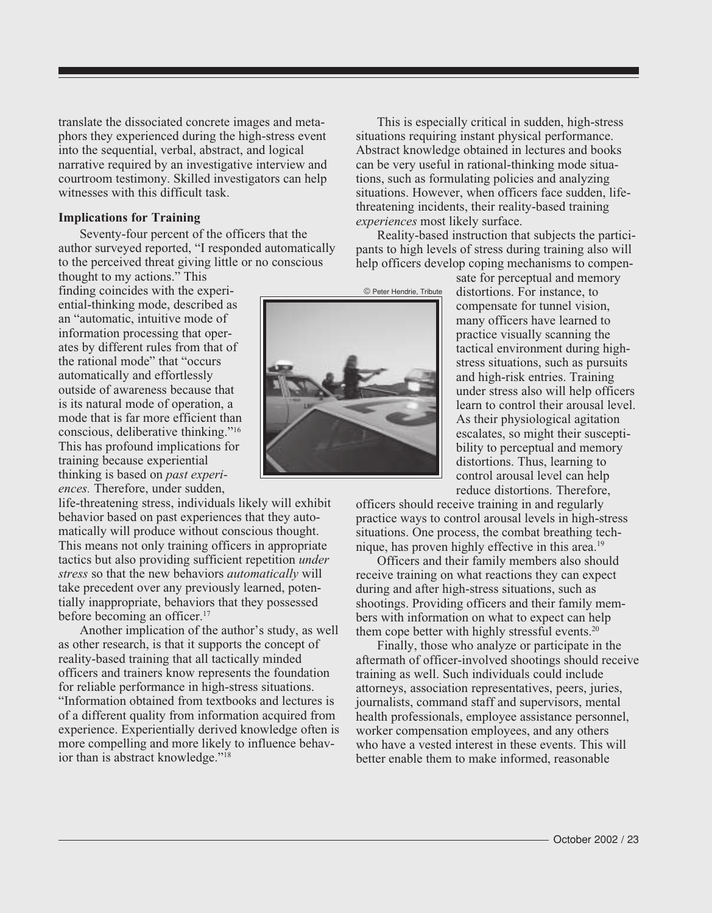translate the dissociated concrete images and metaphors they experienced during the high-stress event into the sequential, verbal, abstract, and logical narrative required by an investigative interview and courtroom testimony. Skilled investigators can help witnesses with this difficult task.

#### **Implications for Training**

Seventy-four percent of the officers that the author surveyed reported, "I responded automatically to the perceived threat giving little or no conscious

thought to my actions." This finding coincides with the experiential-thinking mode, described as an "automatic, intuitive mode of information processing that operates by different rules from that of the rational mode" that "occurs automatically and effortlessly outside of awareness because that is its natural mode of operation, a mode that is far more efficient than conscious, deliberative thinking."16 This has profound implications for training because experiential thinking is based on *past experiences.* Therefore, under sudden,

life-threatening stress, individuals likely will exhibit behavior based on past experiences that they automatically will produce without conscious thought. This means not only training officers in appropriate tactics but also providing sufficient repetition *under stress* so that the new behaviors *automatically* will take precedent over any previously learned, potentially inappropriate, behaviors that they possessed before becoming an officer.<sup>17</sup>

Another implication of the author's study, as well as other research, is that it supports the concept of reality-based training that all tactically minded officers and trainers know represents the foundation for reliable performance in high-stress situations. "Information obtained from textbooks and lectures is of a different quality from information acquired from experience. Experientially derived knowledge often is more compelling and more likely to influence behavior than is abstract knowledge."<sup>18</sup>



This is especially critical in sudden, high-stress situations requiring instant physical performance. Abstract knowledge obtained in lectures and books can be very useful in rational-thinking mode situations, such as formulating policies and analyzing situations. However, when officers face sudden, lifethreatening incidents, their reality-based training *experiences* most likely surface.

Reality-based instruction that subjects the participants to high levels of stress during training also will help officers develop coping mechanisms to compen-

sate for perceptual and memory distortions. For instance, to compensate for tunnel vision, many officers have learned to practice visually scanning the tactical environment during highstress situations, such as pursuits and high-risk entries. Training under stress also will help officers learn to control their arousal level. As their physiological agitation escalates, so might their susceptibility to perceptual and memory distortions. Thus, learning to control arousal level can help reduce distortions. Therefore,

officers should receive training in and regularly practice ways to control arousal levels in high-stress situations. One process, the combat breathing technique, has proven highly effective in this area.<sup>19</sup>

Officers and their family members also should receive training on what reactions they can expect during and after high-stress situations, such as shootings. Providing officers and their family members with information on what to expect can help them cope better with highly stressful events. $20$ 

Finally, those who analyze or participate in the aftermath of officer-involved shootings should receive training as well. Such individuals could include attorneys, association representatives, peers, juries, journalists, command staff and supervisors, mental health professionals, employee assistance personnel, worker compensation employees, and any others who have a vested interest in these events. This will better enable them to make informed, reasonable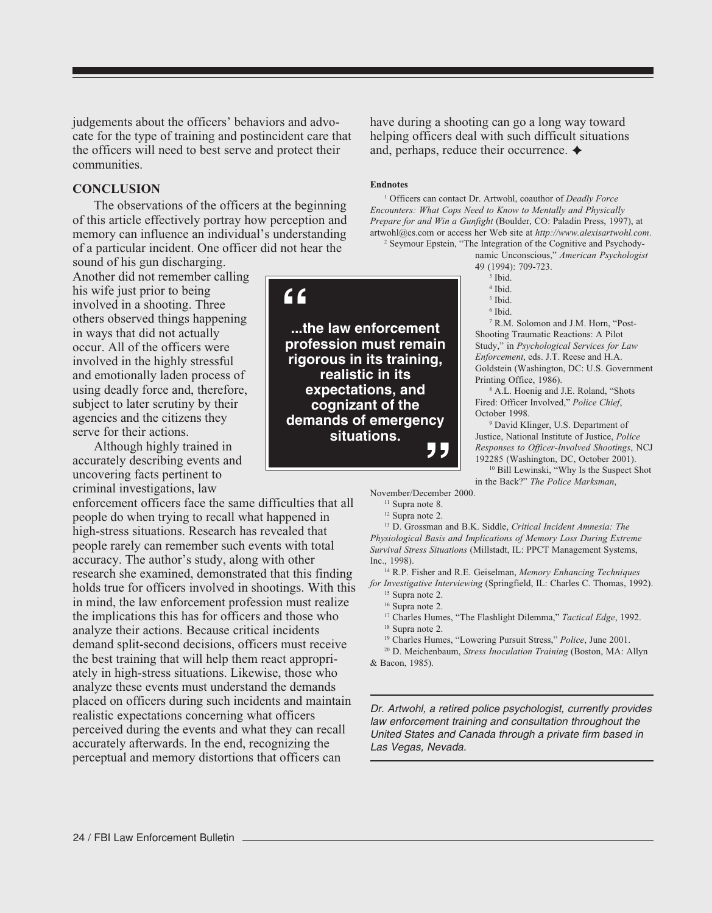judgements about the officers' behaviors and advocate for the type of training and postincident care that the officers will need to best serve and protect their communities.

#### **CONCLUSION**

The observations of the officers at the beginning of this article effectively portray how perception and memory can influence an individual's understanding of a particular incident. One officer did not hear the

sound of his gun discharging. Another did not remember calling his wife just prior to being involved in a shooting. Three others observed things happening in ways that did not actually occur. All of the officers were involved in the highly stressful and emotionally laden process of using deadly force and, therefore, subject to later scrutiny by their agencies and the citizens they serve for their actions.

Although highly trained in accurately describing events and uncovering facts pertinent to criminal investigations, law

enforcement officers face the same difficulties that all people do when trying to recall what happened in high-stress situations. Research has revealed that people rarely can remember such events with total accuracy. The author's study, along with other research she examined, demonstrated that this finding holds true for officers involved in shootings. With this in mind, the law enforcement profession must realize the implications this has for officers and those who analyze their actions. Because critical incidents demand split-second decisions, officers must receive the best training that will help them react appropriately in high-stress situations. Likewise, those who analyze these events must understand the demands placed on officers during such incidents and maintain realistic expectations concerning what officers perceived during the events and what they can recall accurately afterwards. In the end, recognizing the perceptual and memory distortions that officers can

have during a shooting can go a long way toward helping officers deal with such difficult situations and, perhaps, reduce their occurrence.  $\triangleleft$ 

#### **Endnotes**

1 Officers can contact Dr. Artwohl, coauthor of *Deadly Force Encounters: What Cops Need to Know to Mentally and Physically Prepare for and Win a Gunfight* (Boulder, CO: Paladin Press, 1997), at artwohl@cs.com or access her Web site at *http://www.alexisartwohl.com*.

2 Seymour Epstein, "The Integration of the Cognitive and Psychodynamic Unconscious," *American Psychologist* 49 (1994): 709-723.

- 4 Ibid.
- 5 Ibid.

7 R.M. Solomon and J.M. Horn, "Post-Shooting Traumatic Reactions: A Pilot Study," in *Psychological Services for Law Enforcement*, eds. J.T. Reese and H.A. Goldstein (Washington, DC: U.S. Government Printing Office, 1986).

8 A.L. Hoenig and J.E. Roland, "Shots Fired: Officer Involved," *Police Chief*, October 1998.

9 David Klinger, U.S. Department of Justice, National Institute of Justice, *Police Responses to Officer-Involved Shootings*, NCJ 192285 (Washington, DC, October 2001). <sup>10</sup> Bill Lewinski, "Why Is the Suspect Shot

in the Back?" *The Police Marksman*,

November/December 2000.

<sup>11</sup> Supra note 8. 12 Supra note 2.

13 D. Grossman and B.K. Siddle, *Critical Incident Amnesia: The Physiological Basis and Implications of Memory Loss During Extreme Survival Stress Situations* (Millstadt, IL: PPCT Management Systems, Inc., 1998).

14 R.P. Fisher and R.E. Geiselman, *Memory Enhancing Techniques for Investigative Interviewing* (Springfield, IL: Charles C. Thomas, 1992).

17 Charles Humes, "The Flashlight Dilemma," *Tactical Edge*, 1992. <sup>18</sup> Supra note 2.

19 Charles Humes, "Lowering Pursuit Stress," *Police*, June 2001.

20 D. Meichenbaum, *Stress Inoculation Training* (Boston, MA: Allyn & Bacon, 1985).

Dr. Artwohl, a retired police psychologist, currently provides law enforcement training and consultation throughout the United States and Canada through a private firm based in Las Vegas, Nevada.



<sup>3</sup> Ibid.

<sup>6</sup> Ibid.

<sup>&</sup>lt;sup>15</sup> Supra note 2.

<sup>&</sup>lt;sup>16</sup> Supra note 2.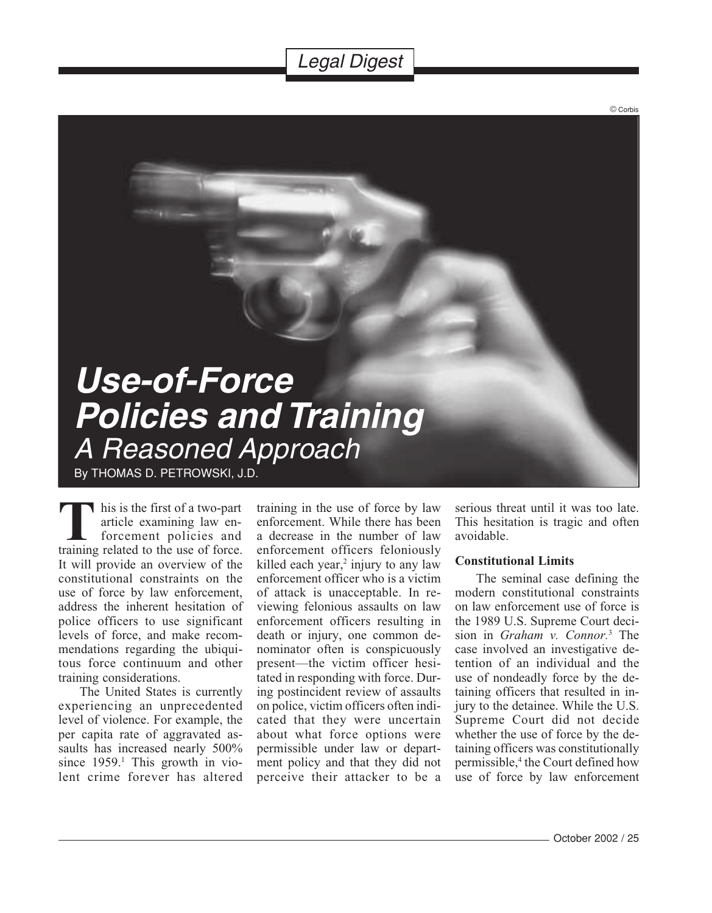## Legal Digest

<span id="page-25-0"></span>

his is the first of a two-part article examining law enforcement policies and This is the first of a two-part<br>
article examining law en-<br>
forcement policies and<br>
training related to the use of force. It will provide an overview of the constitutional constraints on the use of force by law enforcement, address the inherent hesitation of police officers to use significant levels of force, and make recommendations regarding the ubiquitous force continuum and other training considerations.

The United States is currently experiencing an unprecedented level of violence. For example, the per capita rate of aggravated assaults has increased nearly 500% since 1959.<sup>1</sup> This growth in violent crime forever has altered training in the use of force by law enforcement. While there has been a decrease in the number of law enforcement officers feloniously killed each year,<sup>2</sup> injury to any law enforcement officer who is a victim of attack is unacceptable. In reviewing felonious assaults on law enforcement officers resulting in death or injury, one common denominator often is conspicuously present—the victim officer hesitated in responding with force. During postincident review of assaults on police, victim officers often indicated that they were uncertain about what force options were permissible under law or department policy and that they did not perceive their attacker to be a

serious threat until it was too late. This hesitation is tragic and often avoidable.

© Corbis

#### **Constitutional Limits**

The seminal case defining the modern constitutional constraints on law enforcement use of force is the 1989 U.S. Supreme Court decision in *Graham v. Connor.*<sup>3</sup> The case involved an investigative detention of an individual and the use of nondeadly force by the detaining officers that resulted in injury to the detainee. While the U.S. Supreme Court did not decide whether the use of force by the detaining officers was constitutionally permissible,4 the Court defined how use of force by law enforcement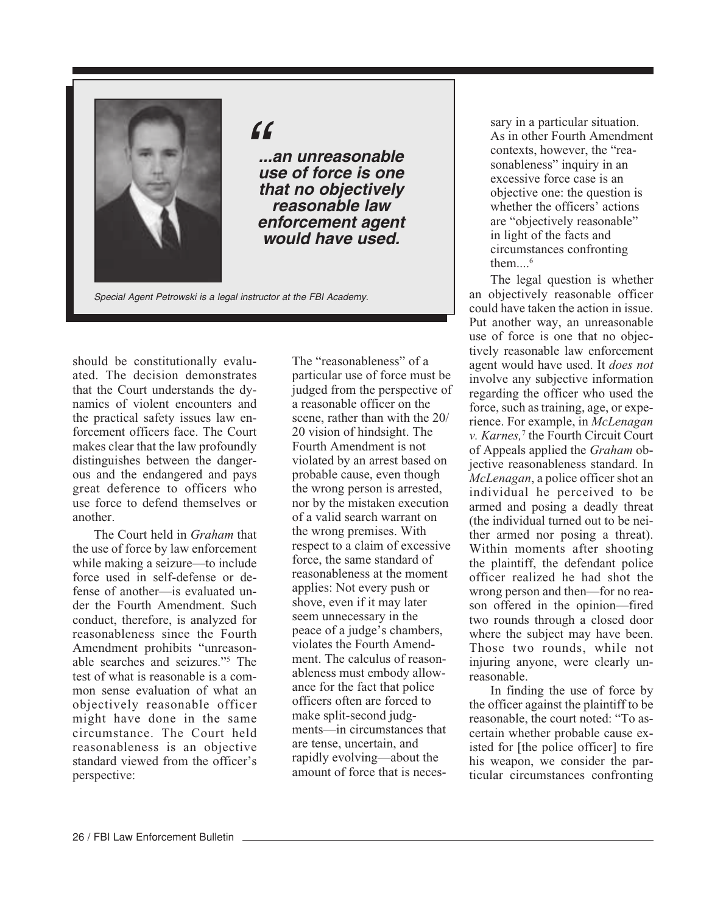

 $\epsilon$ 

**...an unreasonable use of force is one that no objectively reasonable law enforcement agent would have used.**

Special Agent Petrowski is a legal instructor at the FBI Academy.

should be constitutionally evaluated. The decision demonstrates that the Court understands the dynamics of violent encounters and the practical safety issues law enforcement officers face. The Court makes clear that the law profoundly distinguishes between the dangerous and the endangered and pays great deference to officers who use force to defend themselves or another.

The Court held in *Graham* that the use of force by law enforcement while making a seizure—to include force used in self-defense or defense of another—is evaluated under the Fourth Amendment. Such conduct, therefore, is analyzed for reasonableness since the Fourth Amendment prohibits "unreasonable searches and seizures."5 The test of what is reasonable is a common sense evaluation of what an objectively reasonable officer might have done in the same circumstance. The Court held reasonableness is an objective standard viewed from the officer's perspective:

The "reasonableness" of a particular use of force must be judged from the perspective of a reasonable officer on the scene, rather than with the 20/ 20 vision of hindsight. The Fourth Amendment is not violated by an arrest based on probable cause, even though the wrong person is arrested, nor by the mistaken execution of a valid search warrant on the wrong premises. With respect to a claim of excessive force, the same standard of reasonableness at the moment applies: Not every push or shove, even if it may later seem unnecessary in the peace of a judge's chambers, violates the Fourth Amendment. The calculus of reasonableness must embody allowance for the fact that police officers often are forced to make split-second judgments—in circumstances that are tense, uncertain, and rapidly evolving—about the amount of force that is neces-

sary in a particular situation. As in other Fourth Amendment contexts, however, the "reasonableness" inquiry in an excessive force case is an objective one: the question is whether the officers' actions are "objectively reasonable" in light of the facts and circumstances confronting them... $6$ 

The legal question is whether an objectively reasonable officer could have taken the action in issue. Put another way, an unreasonable use of force is one that no objectively reasonable law enforcement agent would have used. It *does not* involve any subjective information regarding the officer who used the force, such as training, age, or experience. For example, in *McLenagan v. Karnes,*<sup>7</sup> the Fourth Circuit Court of Appeals applied the *Graham* objective reasonableness standard. In *McLenagan*, a police officer shot an individual he perceived to be armed and posing a deadly threat (the individual turned out to be neither armed nor posing a threat). Within moments after shooting the plaintiff, the defendant police officer realized he had shot the wrong person and then—for no reason offered in the opinion—fired two rounds through a closed door where the subject may have been. Those two rounds, while not injuring anyone, were clearly unreasonable.

In finding the use of force by the officer against the plaintiff to be reasonable, the court noted: "To ascertain whether probable cause existed for [the police officer] to fire his weapon, we consider the particular circumstances confronting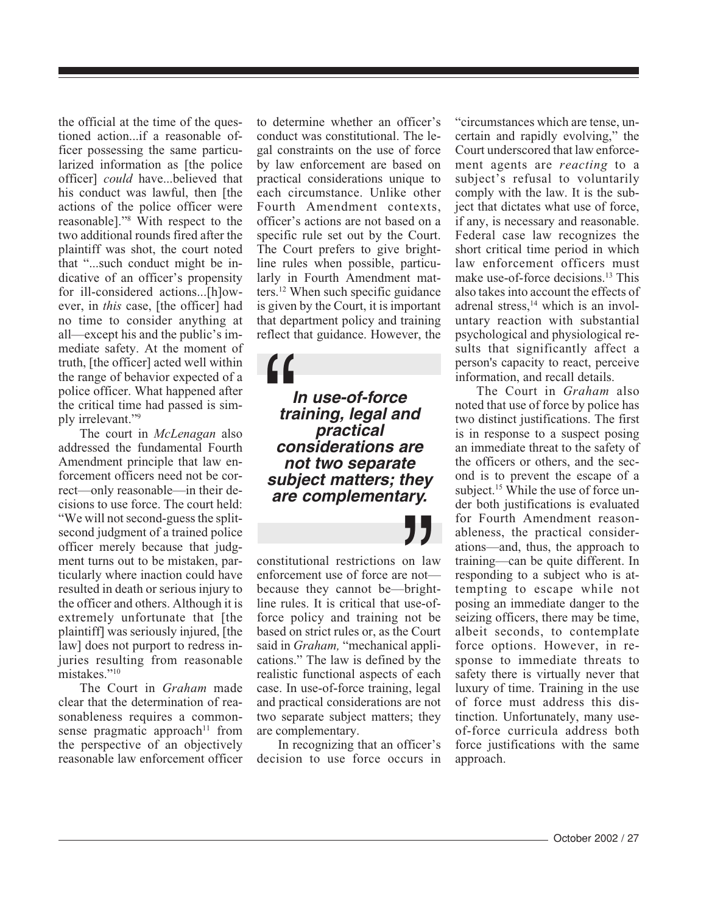the official at the time of the questioned action...if a reasonable officer possessing the same particularized information as [the police officer] *could* have...believed that his conduct was lawful, then [the actions of the police officer were reasonable]."8 With respect to the two additional rounds fired after the plaintiff was shot, the court noted that "...such conduct might be indicative of an officer's propensity for ill-considered actions...[h]owever, in *this* case, [the officer] had no time to consider anything at all—except his and the public's immediate safety. At the moment of truth, [the officer] acted well within the range of behavior expected of a police officer. What happened after the critical time had passed is simply irrelevant."9

The court in *McLenagan* also addressed the fundamental Fourth Amendment principle that law enforcement officers need not be correct—only reasonable—in their decisions to use force. The court held: "We will not second-guess the splitsecond judgment of a trained police officer merely because that judgment turns out to be mistaken, particularly where inaction could have resulted in death or serious injury to the officer and others. Although it is extremely unfortunate that [the plaintiff] was seriously injured, [the law] does not purport to redress injuries resulting from reasonable mistakes."10

The Court in *Graham* made clear that the determination of reasonableness requires a commonsense pragmatic approach<sup>11</sup> from the perspective of an objectively reasonable law enforcement officer to determine whether an officer's conduct was constitutional. The legal constraints on the use of force by law enforcement are based on practical considerations unique to each circumstance. Unlike other Fourth Amendment contexts, officer's actions are not based on a specific rule set out by the Court. The Court prefers to give brightline rules when possible, particularly in Fourth Amendment matters.12 When such specific guidance is given by the Court, it is important that department policy and training reflect that guidance. However, the

**In use-of-force training, legal and practical considerations are not two separate subject matters; they are complementary.**  $\frac{1}{1}$ <br> $\frac{1}{1}$ <br> $\frac{1}{1}$ <br> $\frac{1}{1}$ 

**T**<br>
on lay<br>
e not—<br>
bright<br>
use-of<br>
not b constitutional restrictions on law enforcement use of force are not because they cannot be—brightline rules. It is critical that use-offorce policy and training not be based on strict rules or, as the Court said in *Graham,* "mechanical applications." The law is defined by the realistic functional aspects of each case. In use-of-force training, legal and practical considerations are not two separate subject matters; they are complementary.

In recognizing that an officer's decision to use force occurs in "circumstances which are tense, uncertain and rapidly evolving," the Court underscored that law enforcement agents are *reacting* to a subject's refusal to voluntarily comply with the law. It is the subject that dictates what use of force, if any, is necessary and reasonable. Federal case law recognizes the short critical time period in which law enforcement officers must make use-of-force decisions.13 This also takes into account the effects of adrenal stress,<sup>14</sup> which is an involuntary reaction with substantial psychological and physiological results that significantly affect a person's capacity to react, perceive information, and recall details.

The Court in *Graham* also noted that use of force by police has two distinct justifications. The first is in response to a suspect posing an immediate threat to the safety of the officers or others, and the second is to prevent the escape of a subject.<sup>15</sup> While the use of force under both justifications is evaluated for Fourth Amendment reasonableness, the practical considerations—and, thus, the approach to training—can be quite different. In responding to a subject who is attempting to escape while not posing an immediate danger to the seizing officers, there may be time, albeit seconds, to contemplate force options. However, in response to immediate threats to safety there is virtually never that luxury of time. Training in the use of force must address this distinction. Unfortunately, many useof-force curricula address both force justifications with the same approach.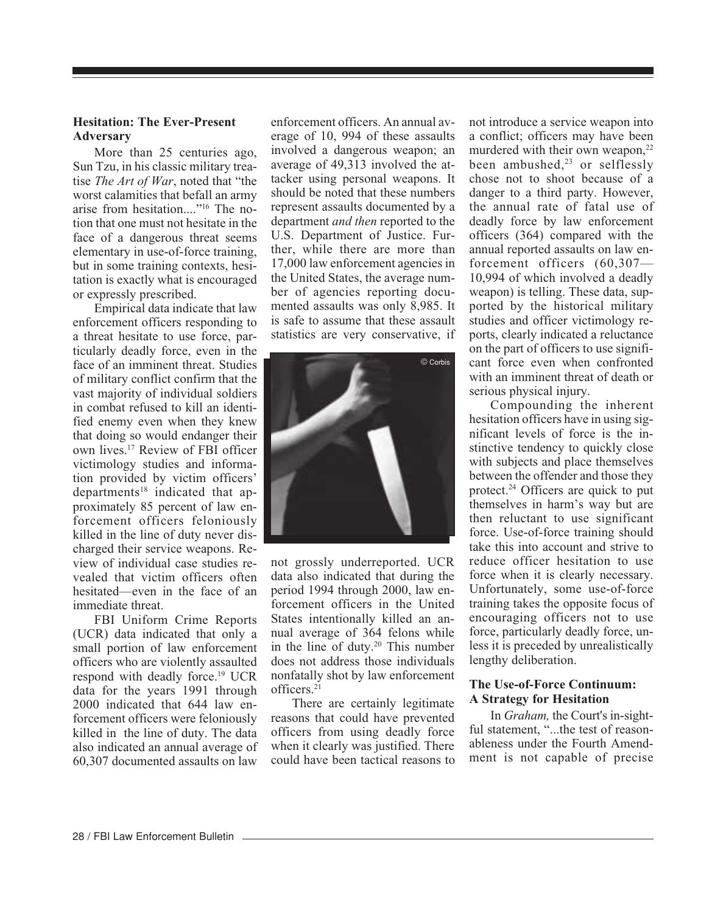#### **Hesitation: The Ever-Present Adversary**

More than 25 centuries ago, Sun Tzu, in his classic military treatise *The Art of War*, noted that "the worst calamities that befall an army arise from hesitation...."16 The notion that one must not hesitate in the face of a dangerous threat seems elementary in use-of-force training, but in some training contexts, hesitation is exactly what is encouraged or expressly prescribed.

Empirical data indicate that law enforcement officers responding to a threat hesitate to use force, particularly deadly force, even in the face of an imminent threat. Studies of military conflict confirm that the vast majority of individual soldiers in combat refused to kill an identified enemy even when they knew that doing so would endanger their own lives.17 Review of FBI officer victimology studies and information provided by victim officers'  $deparments<sup>18</sup> indicated that a<sub>p</sub>$ proximately 85 percent of law enforcement officers feloniously killed in the line of duty never discharged their service weapons. Review of individual case studies revealed that victim officers often hesitated—even in the face of an immediate threat.

FBI Uniform Crime Reports (UCR) data indicated that only a small portion of law enforcement officers who are violently assaulted respond with deadly force.19 UCR data for the years 1991 through 2000 indicated that 644 law enforcement officers were feloniously killed in the line of duty. The data also indicated an annual average of 60,307 documented assaults on law enforcement officers. An annual average of 10, 994 of these assaults involved a dangerous weapon; an average of 49,313 involved the attacker using personal weapons. It should be noted that these numbers represent assaults documented by a department *and then* reported to the U.S. Department of Justice. Further, while there are more than 17,000 law enforcement agencies in the United States, the average number of agencies reporting documented assaults was only 8,985. It is safe to assume that these assault statistics are very conservative, if



not grossly underreported. UCR data also indicated that during the period 1994 through 2000, law enforcement officers in the United States intentionally killed an annual average of 364 felons while in the line of duty.<sup>20</sup> This number does not address those individuals nonfatally shot by law enforcement officers.21

There are certainly legitimate reasons that could have prevented officers from using deadly force when it clearly was justified. There could have been tactical reasons to not introduce a service weapon into a conflict; officers may have been murdered with their own weapon,<sup>22</sup> been ambushed,<sup>23</sup> or selflessly chose not to shoot because of a danger to a third party. However, the annual rate of fatal use of deadly force by law enforcement officers (364) compared with the annual reported assaults on law enforcement officers (60,307— 10,994 of which involved a deadly weapon) is telling. These data, supported by the historical military studies and officer victimology reports, clearly indicated a reluctance on the part of officers to use significant force even when confronted with an imminent threat of death or serious physical injury.

Compounding the inherent hesitation officers have in using significant levels of force is the instinctive tendency to quickly close with subjects and place themselves between the offender and those they protect.24 Officers are quick to put themselves in harm's way but are then reluctant to use significant force. Use-of-force training should take this into account and strive to reduce officer hesitation to use force when it is clearly necessary. Unfortunately, some use-of-force training takes the opposite focus of encouraging officers not to use force, particularly deadly force, unless it is preceded by unrealistically lengthy deliberation.

#### **The Use-of-Force Continuum: A Strategy for Hesitation**

In *Graham,* the Court's in-sightful statement, "...the test of reasonableness under the Fourth Amendment is not capable of precise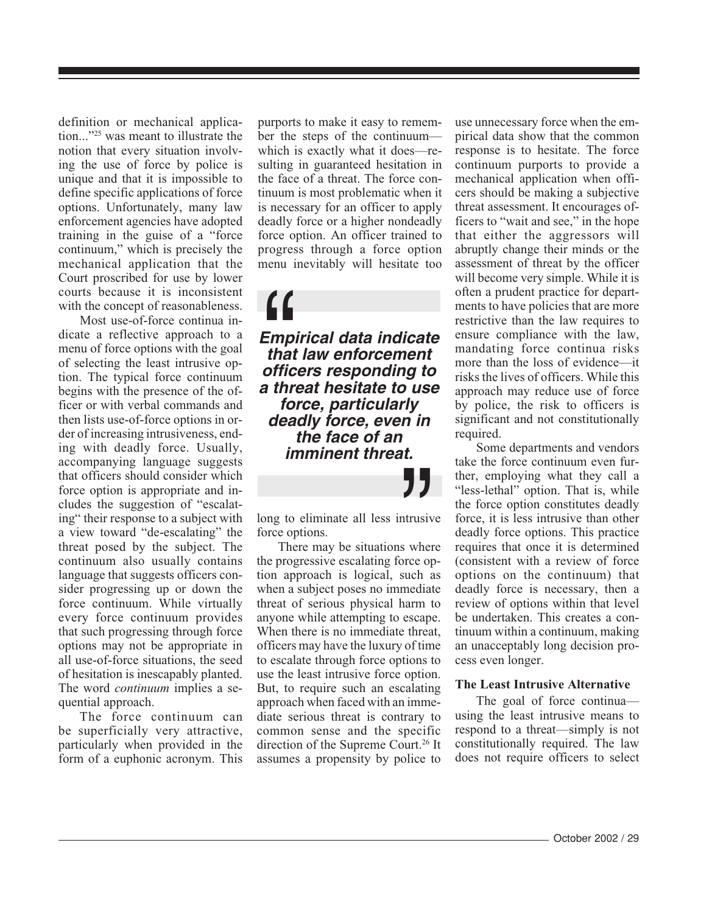definition or mechanical application..."25 was meant to illustrate the notion that every situation involving the use of force by police is unique and that it is impossible to define specific applications of force options. Unfortunately, many law enforcement agencies have adopted training in the guise of a "force continuum," which is precisely the mechanical application that the Court proscribed for use by lower courts because it is inconsistent with the concept of reasonableness.

Most use-of-force continua indicate a reflective approach to a menu of force options with the goal of selecting the least intrusive option. The typical force continuum begins with the presence of the officer or with verbal commands and then lists use-of-force options in order of increasing intrusiveness, ending with deadly force. Usually, accompanying language suggests that officers should consider which force option is appropriate and includes the suggestion of "escalating" their response to a subject with a view toward "de-escalating" the threat posed by the subject. The continuum also usually contains language that suggests officers consider progressing up or down the force continuum. While virtually every force continuum provides that such progressing through force options may not be appropriate in all use-of-force situations, the seed of hesitation is inescapably planted. The word *continuum* implies a sequential approach.

The force continuum can be superficially very attractive, particularly when provided in the form of a euphonic acronym. This

purports to make it easy to remember the steps of the continuum which is exactly what it does—resulting in guaranteed hesitation in the face of a threat. The force continuum is most problematic when it is necessary for an officer to apply deadly force or a higher nondeadly force option. An officer trained to progress through a force option menu inevitably will hesitate too

**Empirical data indicate that law enforcement officers responding to a threat hesitate to use force, particularly deadly force, even in the face of an imminent threat.**  $\prod_{\substack{\text{Emp} \text{that} \\ \text{offic}}}$ 

long to eliminate all less intrusive force options.

There may be situations where the progressive escalating force option approach is logical, such as when a subject poses no immediate threat of serious physical harm to anyone while attempting to escape. When there is no immediate threat, officers may have the luxury of time to escalate through force options to use the least intrusive force option. But, to require such an escalating approach when faced with an immediate serious threat is contrary to common sense and the specific direction of the Supreme Court.<sup>26</sup> It assumes a propensity by police to **J J**<br>trusiv<br>s wher<br>pree op

use unnecessary force when the empirical data show that the common response is to hesitate. The force continuum purports to provide a mechanical application when officers should be making a subjective threat assessment. It encourages officers to "wait and see," in the hope that either the aggressors will abruptly change their minds or the assessment of threat by the officer will become very simple. While it is often a prudent practice for departments to have policies that are more restrictive than the law requires to ensure compliance with the law, mandating force continua risks more than the loss of evidence—it risks the lives of officers. While this approach may reduce use of force by police, the risk to officers is significant and not constitutionally required.

Some departments and vendors take the force continuum even further, employing what they call a "less-lethal" option. That is, while the force option constitutes deadly force, it is less intrusive than other deadly force options. This practice requires that once it is determined (consistent with a review of force options on the continuum) that deadly force is necessary, then a review of options within that level be undertaken. This creates a continuum within a continuum, making an unacceptably long decision process even longer.

#### **The Least Intrusive Alternative**

The goal of force continua using the least intrusive means to respond to a threat—simply is not constitutionally required. The law does not require officers to select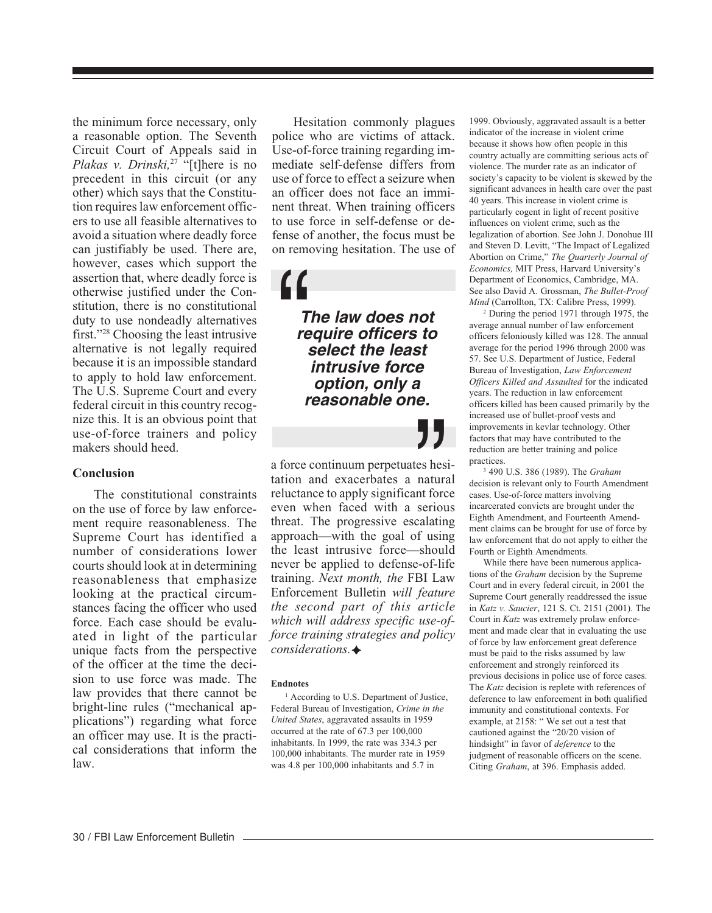the minimum force necessary, only a reasonable option. The Seventh Circuit Court of Appeals said in *Plakas v. Drinski,*27 "[t]here is no precedent in this circuit (or any other) which says that the Constitution requires law enforcement officers to use all feasible alternatives to avoid a situation where deadly force can justifiably be used. There are, however, cases which support the assertion that, where deadly force is otherwise justified under the Constitution, there is no constitutional duty to use nondeadly alternatives first."28 Choosing the least intrusive alternative is not legally required because it is an impossible standard to apply to hold law enforcement. The U.S. Supreme Court and every federal circuit in this country recognize this. It is an obvious point that use-of-force trainers and policy makers should heed.

#### **Conclusion**

The constitutional constraints on the use of force by law enforcement require reasonableness. The Supreme Court has identified a number of considerations lower courts should look at in determining reasonableness that emphasize looking at the practical circumstances facing the officer who used force. Each case should be evaluated in light of the particular unique facts from the perspective of the officer at the time the decision to use force was made. The law provides that there cannot be bright-line rules ("mechanical applications") regarding what force an officer may use. It is the practical considerations that inform the law.

Hesitation commonly plagues police who are victims of attack. Use-of-force training regarding immediate self-defense differs from use of force to effect a seizure when an officer does not face an imminent threat. When training officers to use force in self-defense or defense of another, the focus must be on removing hesitation. The use of

**The law does not require officers to select the least intrusive force option, only a reasonable one.**  $\begin{array}{c}\n\bullet \\
\bullet \\
\bullet \\
\bullet \\
\bullet \\
\bullet\n\end{array}$ 

a force continuum perpetuates hesitation and exacerbates a natural reluctance to apply significant force even when faced with a serious threat. The progressive escalating approach—with the goal of using the least intrusive force—should never be applied to defense-of-life training. *Next month, the* FBI Law Enforcement Bulletin *will feature the second part of this article which will address specific use-offorce training strategies and policy considerations.* **J J**<br>es hes<br>natura<br>nt forc<br>seriou<br>calatin

#### **Endnotes**

<sup>1</sup> According to U.S. Department of Justice, Federal Bureau of Investigation, *Crime in the United States*, aggravated assaults in 1959 occurred at the rate of 67.3 per 100,000 inhabitants. In 1999, the rate was 334.3 per 100,000 inhabitants. The murder rate in 1959 was 4.8 per 100,000 inhabitants and 5.7 in

1999. Obviously, aggravated assault is a better indicator of the increase in violent crime because it shows how often people in this country actually are committing serious acts of violence. The murder rate as an indicator of society's capacity to be violent is skewed by the significant advances in health care over the past 40 years. This increase in violent crime is particularly cogent in light of recent positive influences on violent crime, such as the legalization of abortion. See John J. Donohue III and Steven D. Levitt, "The Impact of Legalized Abortion on Crime," *The Quarterly Journal of Economics,* MIT Press, Harvard University's Department of Economics, Cambridge, MA. See also David A. Grossman, *The Bullet-Proof Mind* (Carrollton, TX: Calibre Press, 1999).

2 During the period 1971 through 1975, the average annual number of law enforcement officers feloniously killed was 128. The annual average for the period 1996 through 2000 was 57. See U.S. Department of Justice, Federal Bureau of Investigation, *Law Enforcement Officers Killed and Assaulted* for the indicated years. The reduction in law enforcement officers killed has been caused primarily by the increased use of bullet-proof vests and improvements in kevlar technology. Other factors that may have contributed to the reduction are better training and police practices.

3 490 U.S. 386 (1989). The *Graham* decision is relevant only to Fourth Amendment cases. Use-of-force matters involving incarcerated convicts are brought under the Eighth Amendment, and Fourteenth Amendment claims can be brought for use of force by law enforcement that do not apply to either the Fourth or Eighth Amendments.

While there have been numerous applications of the *Graham* decision by the Supreme Court and in every federal circuit, in 2001 the Supreme Court generally readdressed the issue in *Katz v. Saucier*, 121 S. Ct. 2151 (2001). The Court in *Katz* was extremely prolaw enforcement and made clear that in evaluating the use of force by law enforcement great deference must be paid to the risks assumed by law enforcement and strongly reinforced its previous decisions in police use of force cases. The *Katz* decision is replete with references of deference to law enforcement in both qualified immunity and constitutional contexts. For example, at 2158: " We set out a test that cautioned against the "20/20 vision of hindsight" in favor of *deference* to the judgment of reasonable officers on the scene. Citing *Graham*, at 396. Emphasis added.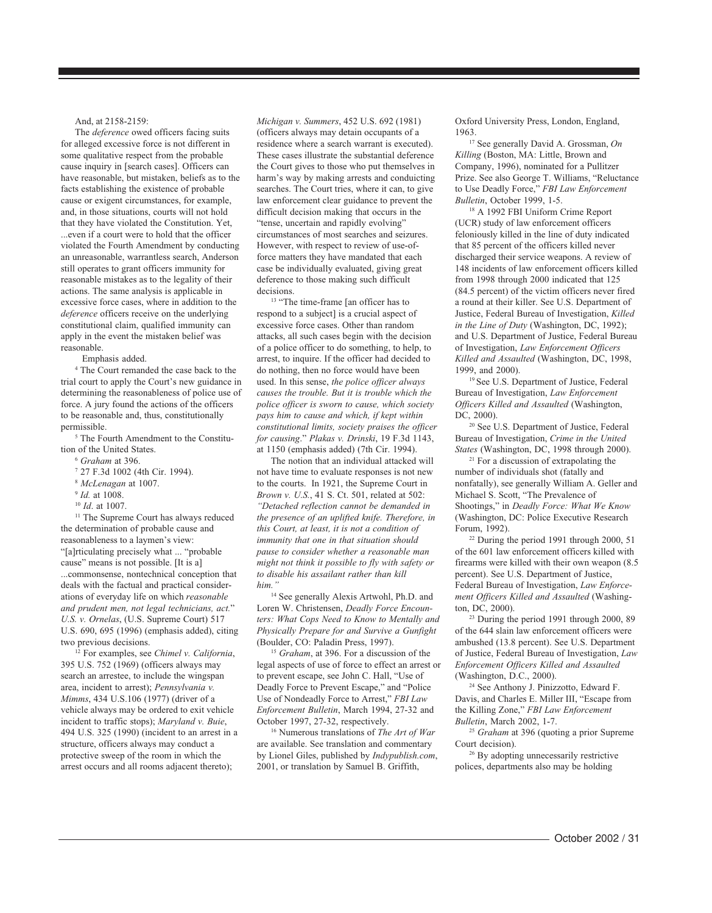#### And, at 2158-2159:

The *deference* owed officers facing suits for alleged excessive force is not different in some qualitative respect from the probable cause inquiry in [search cases]. Officers can have reasonable, but mistaken, beliefs as to the facts establishing the existence of probable cause or exigent circumstances, for example, and, in those situations, courts will not hold that they have violated the Constitution. Yet, ...even if a court were to hold that the officer violated the Fourth Amendment by conducting an unreasonable, warrantless search, Anderson still operates to grant officers immunity for reasonable mistakes as to the legality of their actions. The same analysis is applicable in excessive force cases, where in addition to the *deference* officers receive on the underlying constitutional claim, qualified immunity can apply in the event the mistaken belief was reasonable.

Emphasis added.

4 The Court remanded the case back to the trial court to apply the Court's new guidance in determining the reasonableness of police use of force. A jury found the actions of the officers to be reasonable and, thus, constitutionally permissible.

5 The Fourth Amendment to the Constitution of the United States.

- <sup>6</sup> *Graham* at 396.
- 7 27 F.3d 1002 (4th Cir. 1994).
- <sup>8</sup> *McLenagan* at 1007.
- <sup>9</sup> *Id.* at 1008.
- <sup>10</sup> *Id*. at 1007.

<sup>11</sup> The Supreme Court has always reduced the determination of probable cause and reasonableness to a laymen's view: "[a]rticulating precisely what ... "probable cause" means is not possible. [It is a] ...commonsense, nontechnical conception that deals with the factual and practical considerations of everyday life on which *reasonable and prudent men, not legal technicians, act.*" *U.S. v. Ornelas*, (U.S. Supreme Court) 517 U.S. 690, 695 (1996) (emphasis added), citing two previous decisions.

12 For examples, see *Chimel v. California*, 395 U.S. 752 (1969) (officers always may search an arrestee, to include the wingspan area, incident to arrest); *Pennsylvania v. Mimms*, 434 U.S.106 (1977) (driver of a vehicle always may be ordered to exit vehicle incident to traffic stops); *Maryland v. Buie*, 494 U.S. 325 (1990) (incident to an arrest in a structure, officers always may conduct a protective sweep of the room in which the arrest occurs and all rooms adjacent thereto);

*Michigan v. Summers*, 452 U.S. 692 (1981) (officers always may detain occupants of a residence where a search warrant is executed). These cases illustrate the substantial deference the Court gives to those who put themselves in harm's way by making arrests and conduicting searches. The Court tries, where it can, to give law enforcement clear guidance to prevent the difficult decision making that occurs in the "tense, uncertain and rapidly evolving" circumstances of most searches and seizures. However, with respect to review of use-offorce matters they have mandated that each case be individually evaluated, giving great deference to those making such difficult decisions.

<sup>13</sup> "The time-frame [an officer has to respond to a subject] is a crucial aspect of excessive force cases. Other than random attacks, all such cases begin with the decision of a police officer to do something, to help, to arrest, to inquire. If the officer had decided to do nothing, then no force would have been used. In this sense, *the police officer always causes the trouble. But it is trouble which the police officer is sworn to cause, which society pays him to cause and which, if kept within constitutional limits, society praises the officer for causing*." *Plakas v. Drinski*, 19 F.3d 1143, at 1150 (emphasis added) (7th Cir. 1994).

The notion that an individual attacked will not have time to evaluate responses is not new to the courts. In 1921, the Supreme Court in *Brown v. U.S.*, 41 S. Ct. 501, related at 502: *"Detached reflection cannot be demanded in the presence of an uplifted knife. Therefore, in this Court, at least, it is not a condition of immunity that one in that situation should pause to consider whether a reasonable man might not think it possible to fly with safety or to disable his assailant rather than kill him."*

<sup>14</sup> See generally Alexis Artwohl, Ph.D. and Loren W. Christensen, *Deadly Force Encounters: What Cops Need to Know to Mentally and Physically Prepare for and Survive a Gunfight* (Boulder, CO: Paladin Press, 1997).

<sup>15</sup> *Graham*, at 396. For a discussion of the legal aspects of use of force to effect an arrest or to prevent escape, see John C. Hall, "Use of Deadly Force to Prevent Escape," and "Police Use of Nondeadly Force to Arrest," *FBI Law Enforcement Bulletin*, March 1994, 27-32 and October 1997, 27-32, respectively.

16 Numerous translations of *The Art of War* are available. See translation and commentary by Lionel Giles, published by *Indypublish.com*, 2001, or translation by Samuel B. Griffith,

Oxford University Press, London, England, 1963.

17 See generally David A. Grossman, *On Killing* (Boston, MA: Little, Brown and Company, 1996), nominated for a Pullitzer Prize. See also George T. Williams, "Reluctance to Use Deadly Force," *FBI Law Enforcement Bulletin*, October 1999, 1-5.

18 A 1992 FBI Uniform Crime Report (UCR) study of law enforcement officers feloniously killed in the line of duty indicated that 85 percent of the officers killed never discharged their service weapons. A review of 148 incidents of law enforcement officers killed from 1998 through 2000 indicated that 125 (84.5 percent) of the victim officers never fired a round at their killer. See U.S. Department of Justice, Federal Bureau of Investigation, *Killed in the Line of Duty* (Washington, DC, 1992); and U.S. Department of Justice, Federal Bureau of Investigation, *Law Enforcement Officers Killed and Assaulted* (Washington, DC, 1998, 1999, and 2000).

19 See U.S. Department of Justice, Federal Bureau of Investigation, *Law Enforcement Officers Killed and Assaulted* (Washington, DC, 2000).

20 See U.S. Department of Justice, Federal Bureau of Investigation, *Crime in the United States* (Washington, DC, 1998 through 2000).

21 For a discussion of extrapolating the number of individuals shot (fatally and nonfatally), see generally William A. Geller and Michael S. Scott, "The Prevalence of Shootings," in *Deadly Force: What We Know* (Washington, DC: Police Executive Research Forum, 1992).

<sup>22</sup> During the period 1991 through 2000, 51 of the 601 law enforcement officers killed with firearms were killed with their own weapon (8.5 percent). See U.S. Department of Justice, Federal Bureau of Investigation, *Law Enforcement Officers Killed and Assaulted* (Washington, DC, 2000).

<sup>23</sup> During the period 1991 through 2000, 89 of the 644 slain law enforcement officers were ambushed (13.8 percent). See U.S. Department of Justice, Federal Bureau of Investigation, *Law Enforcement Officers Killed and Assaulted* (Washington, D.C., 2000).

24 See Anthony J. Pinizzotto, Edward F. Davis, and Charles E. Miller III, "Escape from the Killing Zone," *FBI Law Enforcement Bulletin*, March 2002, 1-7.

<sup>25</sup> *Graham* at 396 (quoting a prior Supreme Court decision).

<sup>26</sup> By adopting unnecessarily restrictive polices, departments also may be holding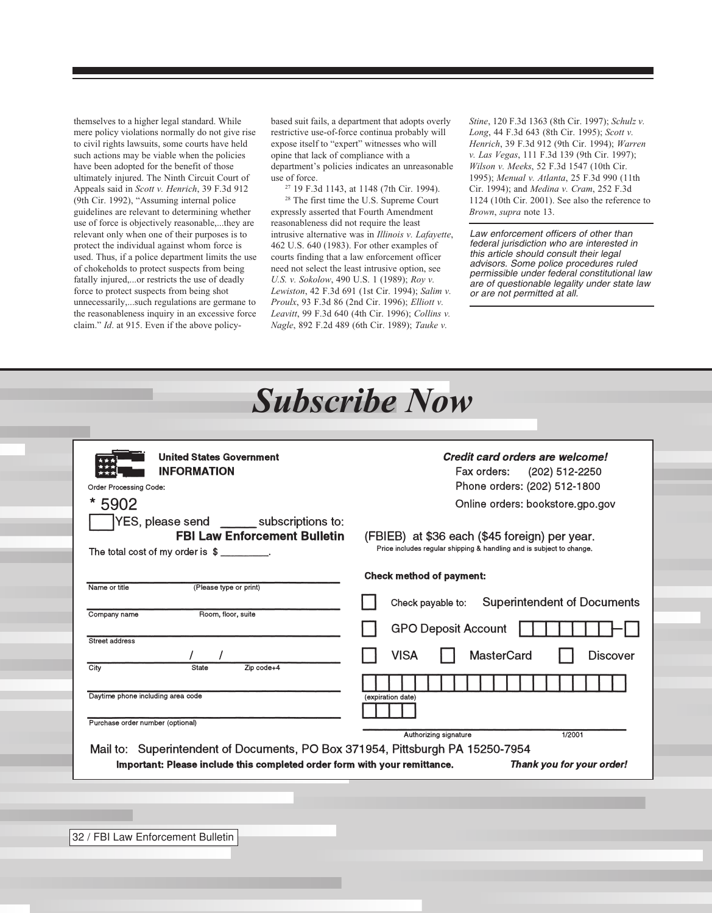themselves to a higher legal standard. While mere policy violations normally do not give rise to civil rights lawsuits, some courts have held such actions may be viable when the policies have been adopted for the benefit of those ultimately injured. The Ninth Circuit Court of Appeals said in *Scott v. Henrich*, 39 F.3d 912 (9th Cir. 1992), "Assuming internal police guidelines are relevant to determining whether use of force is objectively reasonable,...they are relevant only when one of their purposes is to protect the individual against whom force is used. Thus, if a police department limits the use of chokeholds to protect suspects from being fatally injured,...or restricts the use of deadly force to protect suspects from being shot unnecessarily,...such regulations are germane to the reasonableness inquiry in an excessive force claim." *Id*. at 915. Even if the above policybased suit fails, a department that adopts overly restrictive use-of-force continua probably will expose itself to "expert" witnesses who will opine that lack of compliance with a department's policies indicates an unreasonable use of force.

27 19 F.3d 1143, at 1148 (7th Cir. 1994).

28 The first time the U.S. Supreme Court expressly asserted that Fourth Amendment reasonableness did not require the least intrusive alternative was in *Illinois v. Lafayette*, 462 U.S. 640 (1983). For other examples of courts finding that a law enforcement officer need not select the least intrusive option, see *U.S. v. Sokolow*, 490 U.S. 1 (1989); *Roy v. Lewiston*, 42 F.3d 691 (1st Cir. 1994); *Salim v. Proulx*, 93 F.3d 86 (2nd Cir. 1996); *Elliott v. Leavitt*, 99 F.3d 640 (4th Cir. 1996); *Collins v. Nagle*, 892 F.2d 489 (6th Cir. 1989); *Tauke v.*

*Stine*, 120 F.3d 1363 (8th Cir. 1997); *Schulz v. Long*, 44 F.3d 643 (8th Cir. 1995); *Scott v. Henrich*, 39 F.3d 912 (9th Cir. 1994); *Warren v. Las Vegas*, 111 F.3d 139 (9th Cir. 1997); *Wilson v. Meeks*, 52 F.3d 1547 (10th Cir. 1995); *Menual v. Atlanta*, 25 F.3d 990 (11th Cir. 1994); and *Medina v. Cram*, 252 F.3d 1124 (10th Cir. 2001). See also the reference to *Brown*, *supra* note 13.

Law enforcement officers of other than federal jurisdiction who are interested in this article should consult their legal advisors. Some police procedures ruled permissible under federal constitutional law are of questionable legality under state law or are not permitted at all.

| <b>United States Government</b>               | Credit card orders are welcome!                                      |
|-----------------------------------------------|----------------------------------------------------------------------|
| <b>INFORMATION</b>                            | Fax orders:<br>(202) 512-2250                                        |
| Order Processing Code:                        | Phone orders: (202) 512-1800                                         |
| *<br>5902                                     | Online orders: bookstore.gpo.gov                                     |
| YES, please send ________ subscriptions to:   |                                                                      |
| <b>FBI Law Enforcement Bulletin</b>           | (FBIEB) at \$36 each (\$45 foreign) per year.                        |
| The total cost of my order is $\frac{2}{1}$ . | Price includes regular shipping & handling and is subject to change. |
|                                               |                                                                      |
|                                               | <b>Check method of payment:</b>                                      |
| Name or title<br>(Please type or print)       |                                                                      |
| Company name<br>Room, floor, suite            | <b>Superintendent of Documents</b><br>Check payable to:              |
|                                               | <b>GPO Deposit Account</b>                                           |
| Street address                                |                                                                      |
|                                               | <b>VISA</b><br><b>MasterCard</b><br><b>Discover</b>                  |
| City<br>Zip code+4<br><b>State</b>            |                                                                      |
| Daytime phone including area code             |                                                                      |
|                                               | (expiration date)                                                    |
| Purchase order number (optional)              |                                                                      |
|                                               | Authorizing signature<br>1/2001                                      |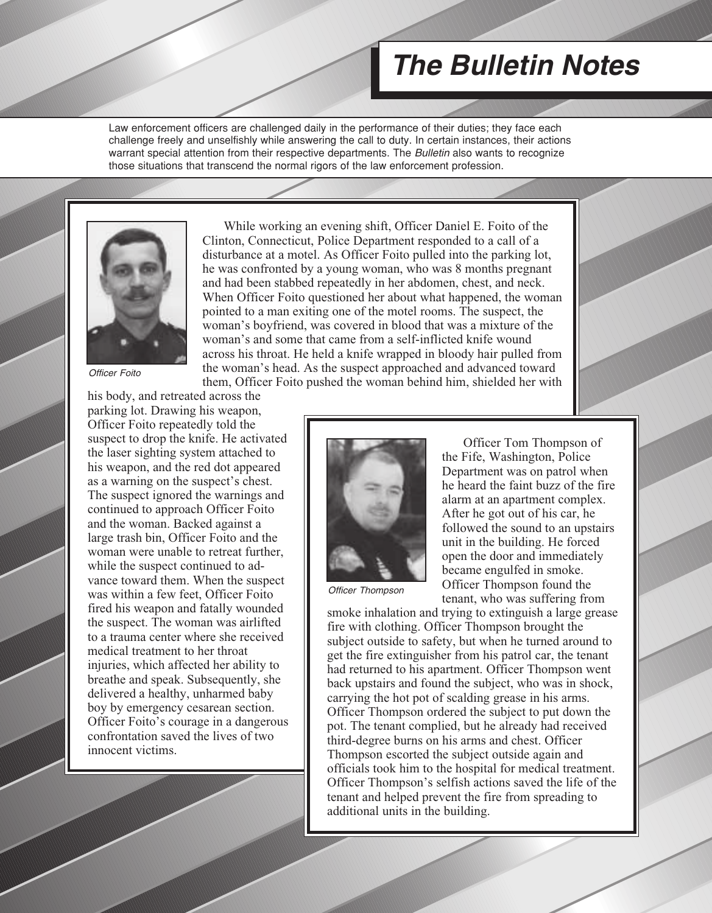## **The Bulletin Notes**

Law enforcement officers are challenged daily in the performance of their duties; they face each challenge freely and unselfishly while answering the call to duty. In certain instances, their actions warrant special attention from their respective departments. The Bulletin also wants to recognize those situations that transcend the normal rigors of the law enforcement profession.



Officer Foito

his body, and retreated across the parking lot. Drawing his weapon, Officer Foito repeatedly told the suspect to drop the knife. He activated the laser sighting system attached to his weapon, and the red dot appeared as a warning on the suspect's chest. The suspect ignored the warnings and continued to approach Officer Foito and the woman. Backed against a large trash bin, Officer Foito and the woman were unable to retreat further, while the suspect continued to advance toward them. When the suspect was within a few feet, Officer Foito fired his weapon and fatally wounded the suspect. The woman was airlifted to a trauma center where she received medical treatment to her throat injuries, which affected her ability to breathe and speak. Subsequently, she delivered a healthy, unharmed baby boy by emergency cesarean section. Officer Foito's courage in a dangerous confrontation saved the lives of two innocent victims.

While working an evening shift, Officer Daniel E. Foito of the Clinton, Connecticut, Police Department responded to a call of a disturbance at a motel. As Officer Foito pulled into the parking lot, he was confronted by a young woman, who was 8 months pregnant and had been stabbed repeatedly in her abdomen, chest, and neck. When Officer Foito questioned her about what happened, the woman pointed to a man exiting one of the motel rooms. The suspect, the woman's boyfriend, was covered in blood that was a mixture of the woman's and some that came from a self-inflicted knife wound across his throat. He held a knife wrapped in bloody hair pulled from the woman's head. As the suspect approached and advanced toward them, Officer Foito pushed the woman behind him, shielded her with



Officer Thompson

Officer Tom Thompson of the Fife, Washington, Police Department was on patrol when he heard the faint buzz of the fire alarm at an apartment complex. After he got out of his car, he followed the sound to an upstairs unit in the building. He forced open the door and immediately became engulfed in smoke. Officer Thompson found the tenant, who was suffering from

smoke inhalation and trying to extinguish a large grease fire with clothing. Officer Thompson brought the subject outside to safety, but when he turned around to get the fire extinguisher from his patrol car, the tenant had returned to his apartment. Officer Thompson went back upstairs and found the subject, who was in shock, carrying the hot pot of scalding grease in his arms. Officer Thompson ordered the subject to put down the pot. The tenant complied, but he already had received third-degree burns on his arms and chest. Officer Thompson escorted the subject outside again and officials took him to the hospital for medical treatment. Officer Thompson's selfish actions saved the life of the tenant and helped prevent the fire from spreading to additional units in the building.